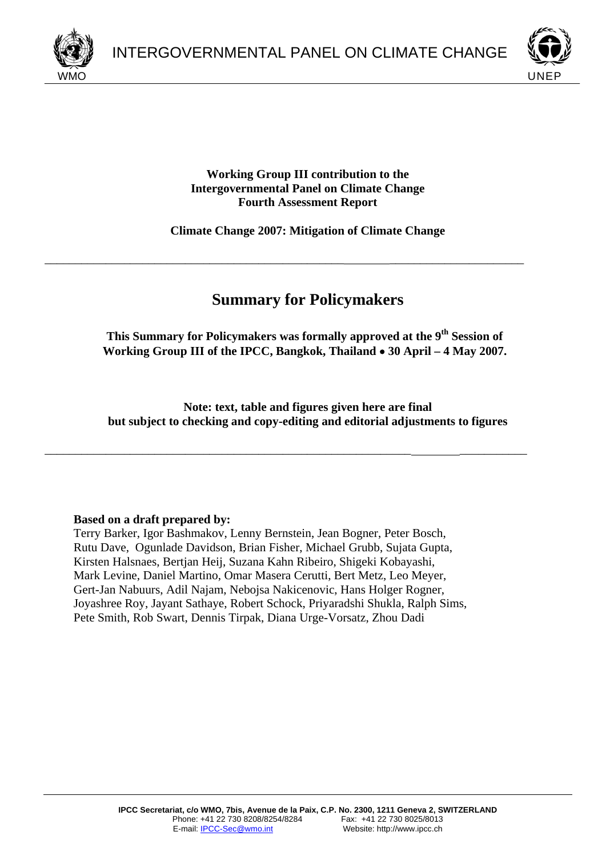





**Working Group III contribution to the Intergovernmental Panel on Climate Change Fourth Assessment Report** 

**Climate Change 2007: Mitigation of Climate Change** 

\_\_\_\_\_\_\_\_\_\_\_\_\_\_\_\_\_\_\_\_\_\_\_\_\_\_\_\_\_\_\_\_\_\_\_\_\_\_\_\_\_\_\_\_\_\_\_\_\_ \_\_\_\_\_\_\_\_\_\_\_\_\_\_\_\_\_\_\_\_\_\_

# **Summary for Policymakers**

This Summary for Policymakers was formally approved at the 9<sup>th</sup> Session of **Working Group III of the IPCC, Bangkok, Thailand** • **30 April – 4 May 2007.** 

**Note: text, table and figures given here are final but subject to checking and copy-editing and editorial adjustments to figures** 

\_\_\_\_\_\_\_\_\_\_\_\_\_\_\_\_\_\_\_\_\_\_\_\_\_\_\_\_\_\_\_\_\_\_\_\_\_\_\_\_\_\_\_\_\_\_\_\_\_\_\_\_\_\_\_\_\_\_\_\_ \_\_\_\_\_\_\_\_\_\_\_

#### **Based on a draft prepared by:**

Terry Barker, Igor Bashmakov, Lenny Bernstein, Jean Bogner, Peter Bosch, Rutu Dave, Ogunlade Davidson, Brian Fisher, Michael Grubb, Sujata Gupta, Kirsten Halsnaes, Bertjan Heij, Suzana Kahn Ribeiro, Shigeki Kobayashi, Mark Levine, Daniel Martino, Omar Masera Cerutti, Bert Metz, Leo Meyer, Gert-Jan Nabuurs, Adil Najam, Nebojsa Nakicenovic, Hans Holger Rogner, Joyashree Roy, Jayant Sathaye, Robert Schock, Priyaradshi Shukla, Ralph Sims, Pete Smith, Rob Swart, Dennis Tirpak, Diana Urge-Vorsatz, Zhou Dadi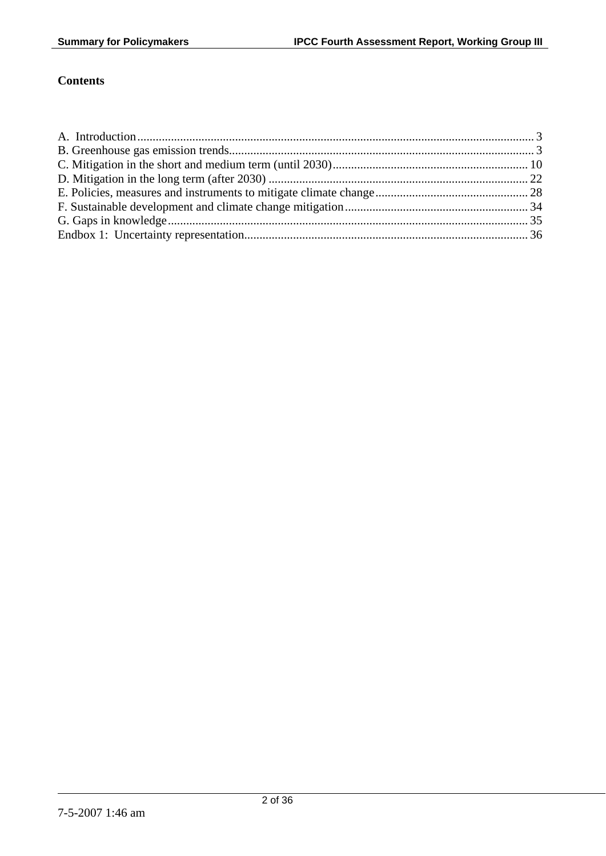# **Contents**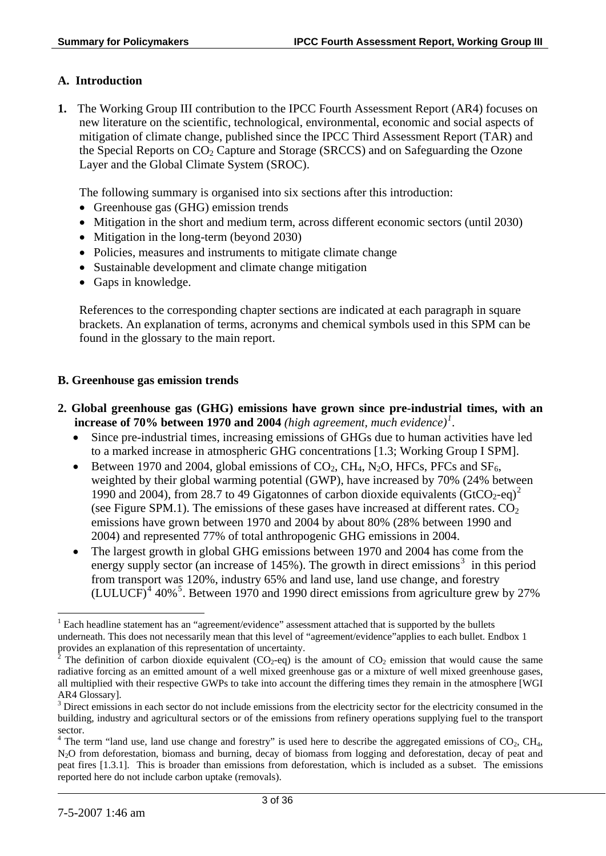#### **A. Introduction**

**1.** The Working Group III contribution to the IPCC Fourth Assessment Report (AR4) focuses on new literature on the scientific, technological, environmental, economic and social aspects of mitigation of climate change, published since the IPCC Third Assessment Report (TAR) and the Special Reports on  $CO<sub>2</sub>$  Capture and Storage (SRCCS) and on Safeguarding the Ozone Layer and the Global Climate System (SROC).

The following summary is organised into six sections after this introduction:

- Greenhouse gas (GHG) emission trends
- Mitigation in the short and medium term, across different economic sectors (until 2030)
- Mitigation in the long-term (beyond 2030)
- Policies, measures and instruments to mitigate climate change
- Sustainable development and climate change mitigation
- Gaps in knowledge.

References to the corresponding chapter sections are indicated at each paragraph in square brackets. An explanation of terms, acronyms and chemical symbols used in this SPM can be found in the glossary to the main report.

#### **B. Greenhouse gas emission trends**

- **2. Global greenhouse gas (GHG) emissions have grown since pre-industrial times, with an increase of 70% between 1970 and 2004** (high agreement, much evidence)<sup>1</sup>.
	- Since pre-industrial times, increasing emissions of GHGs due to human activities have led to a marked increase in atmospheric GHG concentrations [1.3; Working Group I SPM].
	- Between 1970 and 2004, global emissions of  $CO_2$ , CH<sub>4</sub>, N<sub>2</sub>O, HFCs, PFCs and SF<sub>6</sub>, weighted by their global warming potential (GWP), have increased by 70% (24% between 1990 and 2004), from 28.7 to 49 Gigatonnes of carbon dioxide equivalents  $(GtCO<sub>2</sub>-eq)<sup>2</sup>$ (see Figure SPM.1). The emissions of these gases have increased at different rates.  $CO<sub>2</sub>$ emissions have grown between 1970 and 2004 by about 80% (28% between 1990 and 2004) and represented 77% of total anthropogenic GHG emissions in 2004.
	- The largest growth in global GHG emissions between 1970 and 2004 has come from the energy supply sector (an increase of  $145\%$ ). The growth in direct emissions<sup>3</sup> in this period from transport was 120%, industry 65% and land use, land use change, and forestry  $(LULUCF)^4$  40%<sup>5</sup>. Between 1970 and 1990 direct emissions from agriculture grew by 27%

 $\overline{a}$  $1$  Each headline statement has an "agreement/evidence" assessment attached that is supported by the bullets underneath. This does not necessarily mean that this level of "agreement/evidence"applies to each bullet. Endbox 1 provides an explanation of this representation of uncertainty.

 $\bar{2}$ The definition of carbon dioxide equivalent  $(CO_2$ -eq) is the amount of  $CO_2$  emission that would cause the same radiative forcing as an emitted amount of a well mixed greenhouse gas or a mixture of well mixed greenhouse gases, all multiplied with their respective GWPs to take into account the differing times they remain in the atmosphere [WGI AR4 Glossary].

 $3$  Direct emissions in each sector do not include emissions from the electricity sector for the electricity consumed in the building, industry and agricultural sectors or of the emissions from refinery operations supplying fuel to the transport sector.

<sup>&</sup>lt;sup>4</sup> The term "land use, land use change and forestry" is used here to describe the aggregated emissions of  $CO_2$ , CH<sub>4</sub>, N<sub>2</sub>O from deforestation, biomass and burning, decay of biomass from logging and deforestation, decay of peat and peat fires [1.3.1]. This is broader than emissions from deforestation, which is included as a subset. The emissions reported here do not include carbon uptake (removals).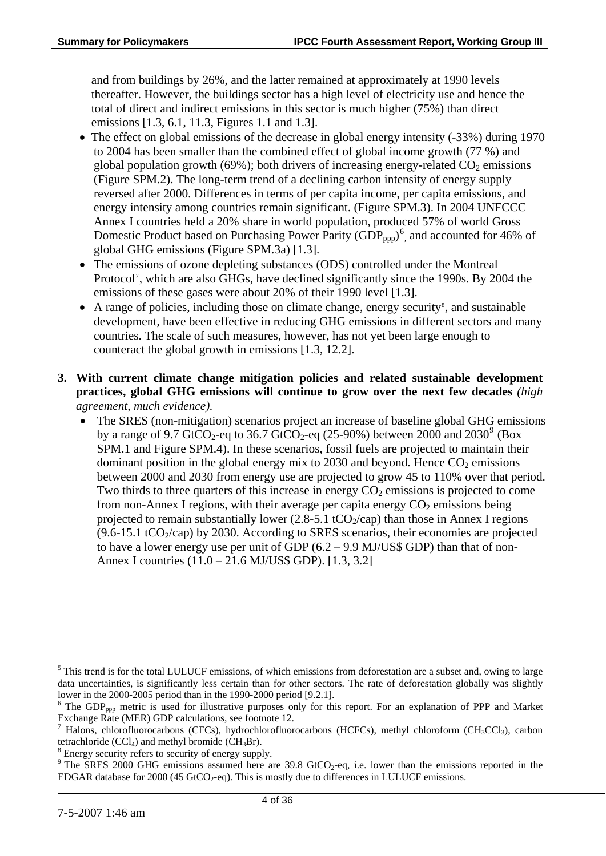and from buildings by 26%, and the latter remained at approximately at 1990 levels thereafter. However, the buildings sector has a high level of electricity use and hence the total of direct and indirect emissions in this sector is much higher (75%) than direct emissions [1.3, 6.1, 11.3, Figures 1.1 and 1.3].

- The effect on global emissions of the decrease in global energy intensity (-33%) during 1970 to 2004 has been smaller than the combined effect of global income growth (77 %) and global population growth (69%); both drivers of increasing energy-related  $CO<sub>2</sub>$  emissions (Figure SPM.2). The long-term trend of a declining carbon intensity of energy supply reversed after 2000. Differences in terms of per capita income, per capita emissions, and energy intensity among countries remain significant. (Figure SPM.3). In 2004 UNFCCC Annex I countries held a 20% share in world population, produced 57% of world Gross Domestic Product based on Purchasing Power Parity  $(GDP_{ppp})^6$ , and accounted for 46% of global GHG emissions (Figure SPM.3a) [1.3].
- The emissions of ozone depleting substances (ODS) controlled under the Montreal Protocol<sup>7</sup>, which are also GHGs, have declined significantly since the 1990s. By 2004 the emissions of these gases were about 20% of their 1990 level [1.3].
- A range of policies, including those on climate change, energy security<sup>8</sup>, and sustainable development, have been effective in reducing GHG emissions in different sectors and many countries. The scale of such measures, however, has not yet been large enough to counteract the global growth in emissions [1.3, 12.2].
- **3. With current climate change mitigation policies and related sustainable development practices, global GHG emissions will continue to grow over the next few decades** (high *agreement, much evidence).* 
	- The SRES (non-mitigation) scenarios project an increase of baseline global GHG emissions by a range of 9.7 GtCO<sub>2</sub>-eq to 36.7 GtCO<sub>2</sub>-eq (25-90%) between 2000 and 2030<sup>9</sup> (Box SPM.1 and Figure SPM.4). In these scenarios, fossil fuels are projected to maintain their dominant position in the global energy mix to 2030 and beyond. Hence  $CO<sub>2</sub>$  emissions between 2000 and 2030 from energy use are projected to grow 45 to 110% over that period. Two thirds to three quarters of this increase in energy  $CO<sub>2</sub>$  emissions is projected to come from non-Annex I regions, with their average per capita energy  $CO<sub>2</sub>$  emissions being projected to remain substantially lower  $(2.8-5.1 \text{ tCO}_2/\text{cap})$  than those in Annex I regions  $(9.6-15.1$  tCO<sub>2</sub>/cap) by 2030. According to SRES scenarios, their economies are projected to have a lower energy use per unit of GDP (6.2 – 9.9 MJ/US\$ GDP) than that of non-Annex I countries (11.0 – 21.6 MJ/US\$ GDP). [1.3, 3.2]

 $5$  This trend is for the total LULUCF emissions, of which emissions from deforestation are a subset and, owing to large data uncertainties, is significantly less certain than for other sectors. The rate of deforestation globally was slightly lower in the 2000-2005 period than in the 1990-2000 period [9.2.1].

 $6$  The GDP<sub>ppp</sub> metric is used for illustrative purposes only for this report. For an explanation of PPP and Market Exchange Rate (MER) GDP calculations, see footnote 12.

<sup>7</sup> Halons, chlorofluorocarbons (CFCs), hydrochlorofluorocarbons (HCFCs), methyl chloroform (CH<sub>3</sub>CCl<sub>3</sub>), carbon tetrachloride  $(CCl_4)$  and methyl bromide  $(CH_3Br)$ .

 $8$  Energy security refers to security of energy supply.

 $9$  The SRES 2000 GHG emissions assumed here are 39.8 GtCO<sub>2</sub>-eq, i.e. lower than the emissions reported in the EDGAR database for 2000 (45  $GCO_2$ -eq). This is mostly due to differences in LULUCF emissions.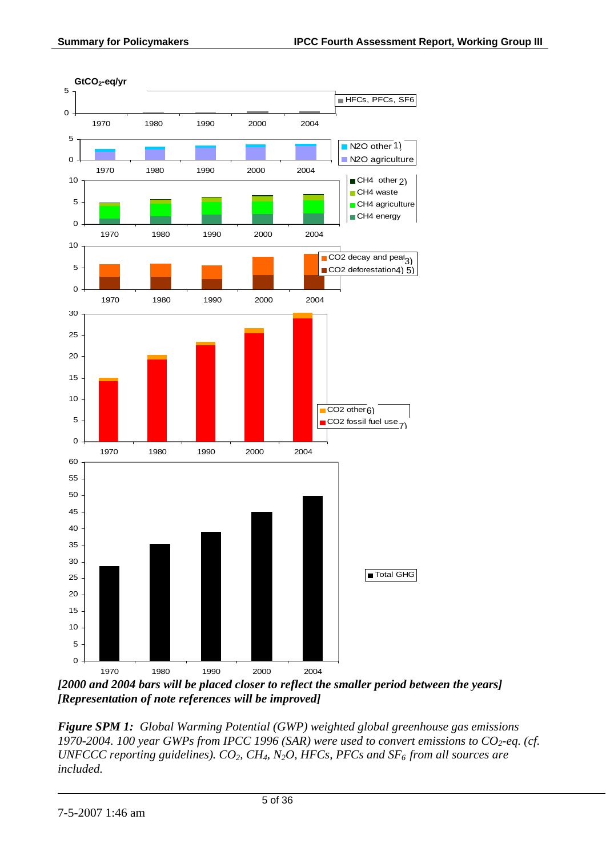

*[2000 and 2004 bars will be placed closer to reflect the smaller period between the years] [Representation of note references will be improved]* 

*Figure SPM 1: Global Warming Potential (GWP) weighted global greenhouse gas emissions*  1970-2004. 100 year GWPs from IPCC 1996 (SAR) were used to convert emissions to CO<sub>2</sub>-eq. (cf. *UNFCCC reporting guidelines).*  $CO_2$ ,  $CH_4$ ,  $N_2O$ ,  $HFCs$ ,  $PFCs$  and  $SF_6$  *from all sources are included.*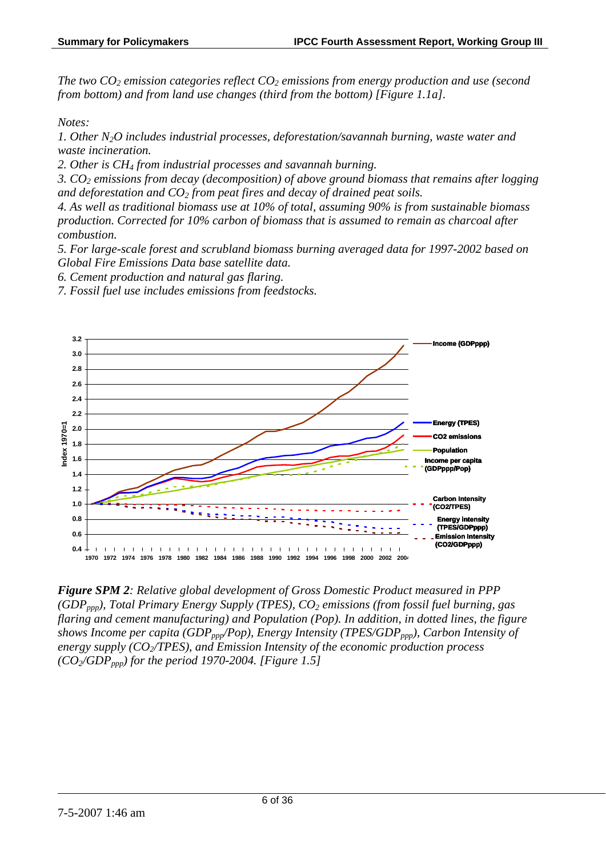*The two CO<sub>2</sub> emission categories reflect CO<sub>2</sub> emissions from energy production and use (second from bottom) and from land use changes (third from the bottom) [Figure 1.1a].* 

*Notes:* 

1. Other N<sub>2</sub>O includes industrial processes, deforestation/savannah burning, waste water and *waste incineration.* 

2. Other is CH<sub>4</sub> from industrial processes and savannah burning.

3. CO<sub>2</sub> emissions from decay (decomposition) of above ground biomass that remains after logging and deforestation and CO<sub>2</sub> from peat fires and decay of drained peat soils.

*4. As well as traditional biomass use at 10% of total, assuming 90% is from sustainable biomass production. Corrected for 10% carbon of biomass that is assumed to remain as charcoal after combustion.* 

*5. For large-scale forest and scrubland biomass burning averaged data for 1997-2002 based on Global Fire Emissions Data base satellite data.* 

*6. Cement production and natural gas flaring.* 

*7. Fossil fuel use includes emissions from feedstocks.*



*Figure SPM 2: Relative global development of Gross Domestic Product measured in PPP*  (GDP<sub>ppp</sub>), Total Primary Energy Supply (TPES), CO<sub>2</sub> emissions (from fossil fuel burning, gas *flaring and cement manufacturing) and Population (Pop). In addition, in dotted lines, the figure shows Income per capita (GDP<sub>ppp</sub>/Pop), Energy Intensity (TPES/GDP<sub>ppp</sub>), Carbon Intensity of energy supply (CO<sub>2</sub>/TPES), and Emission Intensity of the economic production process*  $(CO_2/GDP_{ppp})$  for the period 1970-2004. [Figure 1.5]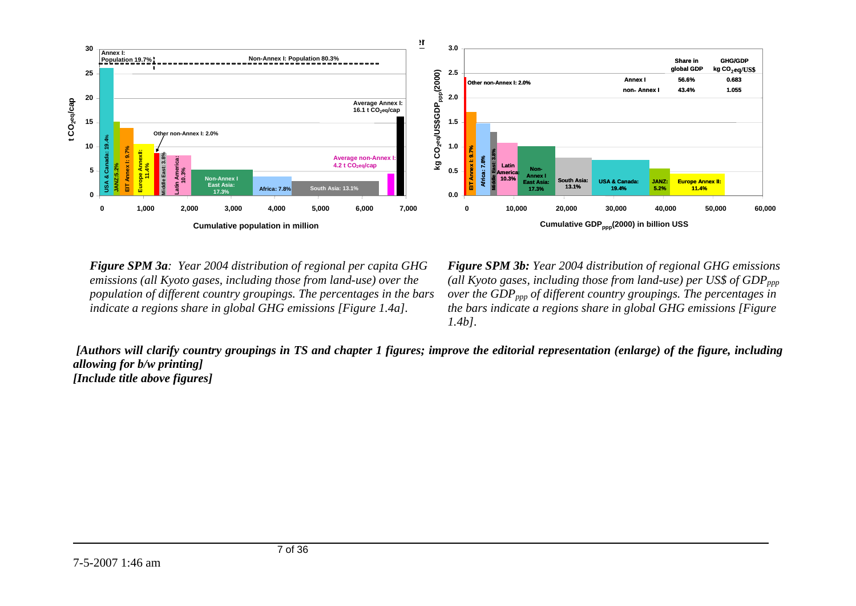

*Figure SPM 3a: Year 2004 distribution of regional per capita GHG emissions (all Kyoto gases, including those from land-use) over the population of different country groupings. The percentages in the bars indicate a regions share in global GHG emissions [Figure 1.4a].* 

*Figure SPM 3b: Year 2004 distribution of regional GHG emissions (all Kyoto gases, including those from land-use) per US\$ of GDP*<sub>*ppp</sub></sup></sub> over the GDP*<sub>*ppp</sub>* of different country groupings. The percentages in</sub> *the bars indicate a regions share in global GHG emissions [Figure 1.4b].* 

 *[Authors will clarify country groupings in TS and chapter 1 figures; improve the editorial representation (enlarge) of the figure, including allowing for b/w printing] [Include title above figures]*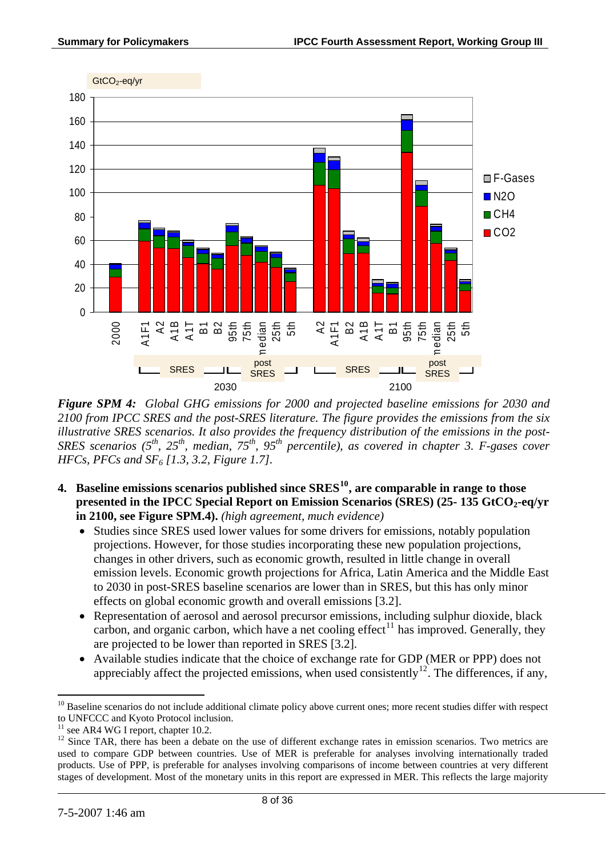

Figure SPM 4: Global GHG emissions for 2000 and projected baseline emissions for 2030 and *2100 from IPCC SRES and the post-SRES literature. The figure provides the emissions from the six illustrative SRES scenarios. It also provides the frequency distribution of the emissions in the post-* $SRES$  scenarios (5<sup>th</sup>, 25<sup>th</sup>, median, 75<sup>th</sup>, 95<sup>th</sup> percentile), as covered in chapter 3. F-gases cover *HFCs, PFCs and SF<sub>6</sub> [1.3, 3.2, Figure 1.7].* 

- **4.** Baseline emissions scenarios published since SRES<sup>10</sup>, are comparable in range to those presented in the IPCC Special Report on Emission Scenarios (SRES) (25-135 GtCO<sub>2</sub>-eq/yr **in 2100, see Figure SPM.4).** *(high agreement, much evidence)*
	- Studies since SRES used lower values for some drivers for emissions, notably population projections. However, for those studies incorporating these new population projections, changes in other drivers, such as economic growth, resulted in little change in overall emission levels. Economic growth projections for Africa, Latin America and the Middle East to 2030 in post-SRES baseline scenarios are lower than in SRES, but this has only minor effects on global economic growth and overall emissions [3.2].
	- Representation of aerosol and aerosol precursor emissions, including sulphur dioxide, black carbon, and organic carbon, which have a net cooling effect<sup>11</sup> has improved. Generally, they are projected to be lower than reported in SRES [3.2].
	- Available studies indicate that the choice of exchange rate for GDP (MER or PPP) does not appreciably affect the projected emissions, when used consistently<sup>12</sup>. The differences, if any,

<sup>&</sup>lt;sup>10</sup> Baseline scenarios do not include additional climate policy above current ones; more recent studies differ with respect to UNFCCC and Kyoto Protocol inclusion.

 $11$  see AR4 WG I report, chapter 10.2.

 $12$  Since TAR, there has been a debate on the use of different exchange rates in emission scenarios. Two metrics are used to compare GDP between countries. Use of MER is preferable for analyses involving internationally traded products. Use of PPP, is preferable for analyses involving comparisons of income between countries at very different stages of development. Most of the monetary units in this report are expressed in MER. This reflects the large majority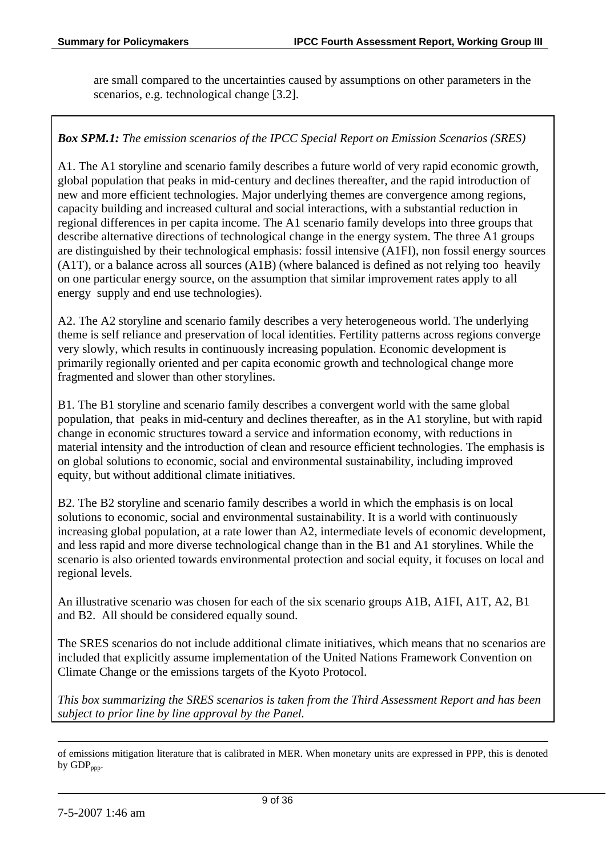are small compared to the uncertainties caused by assumptions on other parameters in the scenarios, e.g. technological change [3.2].

#### *Box SPM.1: The emission scenarios of the IPCC Special Report on Emission Scenarios (SRES)*

A1. The A1 storyline and scenario family describes a future world of very rapid economic growth, global population that peaks in mid-century and declines thereafter, and the rapid introduction of new and more efficient technologies. Major underlying themes are convergence among regions, capacity building and increased cultural and social interactions, with a substantial reduction in regional differences in per capita income. The A1 scenario family develops into three groups that describe alternative directions of technological change in the energy system. The three A1 groups are distinguished by their technological emphasis: fossil intensive (A1FI), non fossil energy sources (A1T), or a balance across all sources (A1B) (where balanced is defined as not relying too heavily on one particular energy source, on the assumption that similar improvement rates apply to all energy supply and end use technologies).

A2. The A2 storyline and scenario family describes a very heterogeneous world. The underlying theme is self reliance and preservation of local identities. Fertility patterns across regions converge very slowly, which results in continuously increasing population. Economic development is primarily regionally oriented and per capita economic growth and technological change more fragmented and slower than other storylines.

B1. The B1 storyline and scenario family describes a convergent world with the same global population, that peaks in mid-century and declines thereafter, as in the A1 storyline, but with rapid change in economic structures toward a service and information economy, with reductions in material intensity and the introduction of clean and resource efficient technologies. The emphasis is on global solutions to economic, social and environmental sustainability, including improved equity, but without additional climate initiatives.

B2. The B2 storyline and scenario family describes a world in which the emphasis is on local solutions to economic, social and environmental sustainability. It is a world with continuously increasing global population, at a rate lower than A2, intermediate levels of economic development, and less rapid and more diverse technological change than in the B1 and A1 storylines. While the scenario is also oriented towards environmental protection and social equity, it focuses on local and regional levels.

An illustrative scenario was chosen for each of the six scenario groups A1B, A1FI, A1T, A2, B1 and B2. All should be considered equally sound.

The SRES scenarios do not include additional climate initiatives, which means that no scenarios are included that explicitly assume implementation of the United Nations Framework Convention on Climate Change or the emissions targets of the Kyoto Protocol.

*This box summarizing the SRES scenarios is taken from the Third Assessment Report and has been subject to prior line by line approval by the Panel.* 

of emissions mitigation literature that is calibrated in MER. When monetary units are expressed in PPP, this is denoted by GDP<sub>ppp</sub>.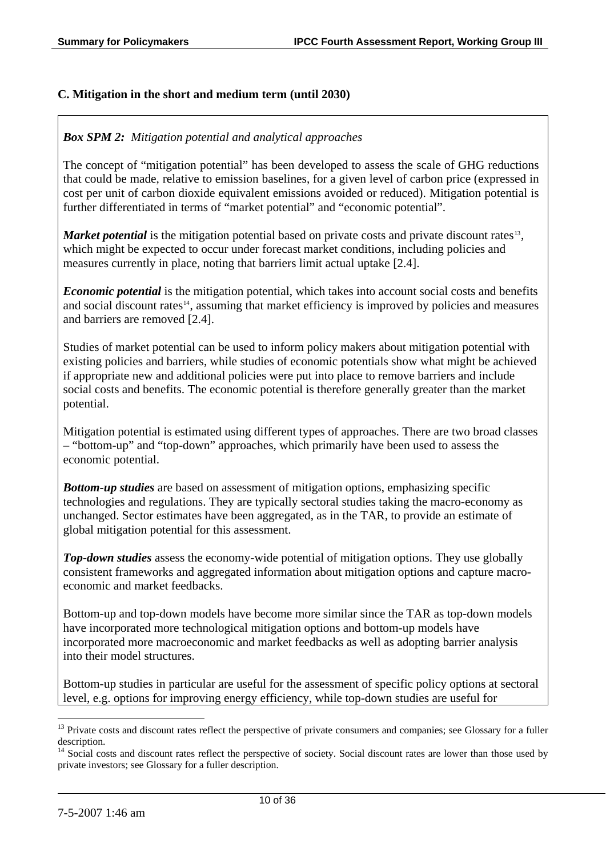#### **C. Mitigation in the short and medium term (until 2030)**

#### *Box SPM 2: Mitigation potential and analytical approaches*

The concept of "mitigation potential" has been developed to assess the scale of GHG reductions that could be made, relative to emission baselines, for a given level of carbon price (expressed in cost per unit of carbon dioxide equivalent emissions avoided or reduced). Mitigation potential is further differentiated in terms of "market potential" and "economic potential".

*Market potential* is the mitigation potential based on private costs and private discount rates<sup>13</sup>, which might be expected to occur under forecast market conditions, including policies and measures currently in place, noting that barriers limit actual uptake [2.4].

*Economic potential* is the mitigation potential, which takes into account social costs and benefits and social discount rates<sup>14</sup>, assuming that market efficiency is improved by policies and measures and barriers are removed [2.4].

Studies of market potential can be used to inform policy makers about mitigation potential with existing policies and barriers, while studies of economic potentials show what might be achieved if appropriate new and additional policies were put into place to remove barriers and include social costs and benefits. The economic potential is therefore generally greater than the market potential.

Mitigation potential is estimated using different types of approaches. There are two broad classes – "bottom-up" and "top-down" approaches, which primarily have been used to assess the economic potential.

*Bottom-up studies* are based on assessment of mitigation options, emphasizing specific technologies and regulations. They are typically sectoral studies taking the macro-economy as unchanged. Sector estimates have been aggregated, as in the TAR, to provide an estimate of global mitigation potential for this assessment.

*Top-down studies* assess the economy-wide potential of mitigation options. They use globally consistent frameworks and aggregated information about mitigation options and capture macroeconomic and market feedbacks.

Bottom-up and top-down models have become more similar since the TAR as top-down models have incorporated more technological mitigation options and bottom-up models have incorporated more macroeconomic and market feedbacks as well as adopting barrier analysis into their model structures.

Bottom-up studies in particular are useful for the assessment of specific policy options at sectoral level, e.g. options for improving energy efficiency, while top-down studies are useful for

<sup>&</sup>lt;sup>13</sup> Private costs and discount rates reflect the perspective of private consumers and companies; see Glossary for a fuller description.

<sup>&</sup>lt;sup>14</sup> Social costs and discount rates reflect the perspective of society. Social discount rates are lower than those used by private investors; see Glossary for a fuller description.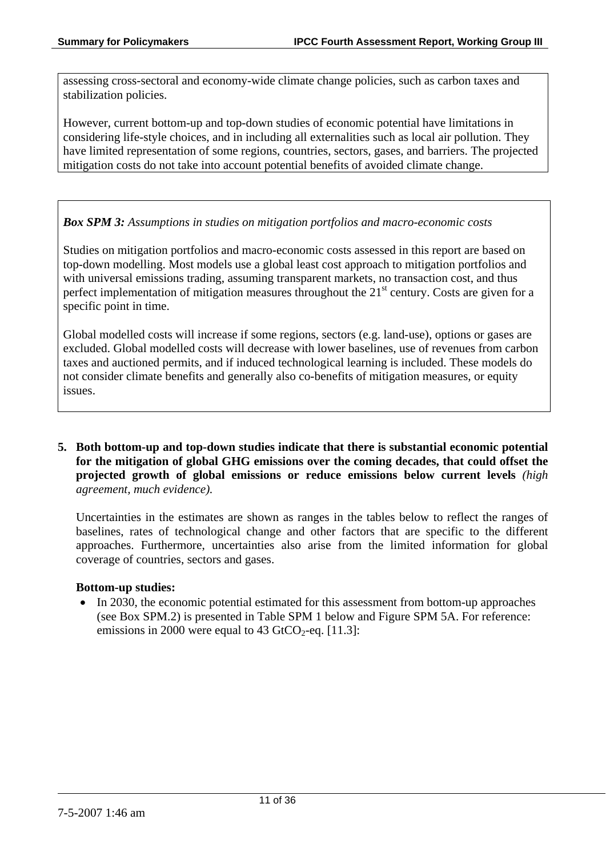assessing cross-sectoral and economy-wide climate change policies, such as carbon taxes and stabilization policies.

However, current bottom-up and top-down studies of economic potential have limitations in considering life-style choices, and in including all externalities such as local air pollution. They have limited representation of some regions, countries, sectors, gases, and barriers. The projected mitigation costs do not take into account potential benefits of avoided climate change.

#### *Box SPM 3: Assumptions in studies on mitigation portfolios and macro-economic costs*

Studies on mitigation portfolios and macro-economic costs assessed in this report are based on top-down modelling. Most models use a global least cost approach to mitigation portfolios and with universal emissions trading, assuming transparent markets, no transaction cost, and thus perfect implementation of mitigation measures throughout the  $21<sup>st</sup>$  century. Costs are given for a specific point in time.

Global modelled costs will increase if some regions, sectors (e.g. land-use), options or gases are excluded. Global modelled costs will decrease with lower baselines, use of revenues from carbon taxes and auctioned permits, and if induced technological learning is included. These models do not consider climate benefits and generally also co-benefits of mitigation measures, or equity issues.

**5. Both bottom-up and top-down studies indicate that there is substantial economic potential for the mitigation of global GHG emissions over the coming decades, that could offset the projected growth of global emissions or reduce emissions below current levels** *(high agreement, much evidence).* 

Uncertainties in the estimates are shown as ranges in the tables below to reflect the ranges of baselines, rates of technological change and other factors that are specific to the different approaches. Furthermore, uncertainties also arise from the limited information for global coverage of countries, sectors and gases.

#### **Bottom-up studies:**

• In 2030, the economic potential estimated for this assessment from bottom-up approaches (see Box SPM.2) is presented in Table SPM 1 below and Figure SPM 5A. For reference: emissions in 2000 were equal to 43 GtCO<sub>2</sub>-eq. [11.3]: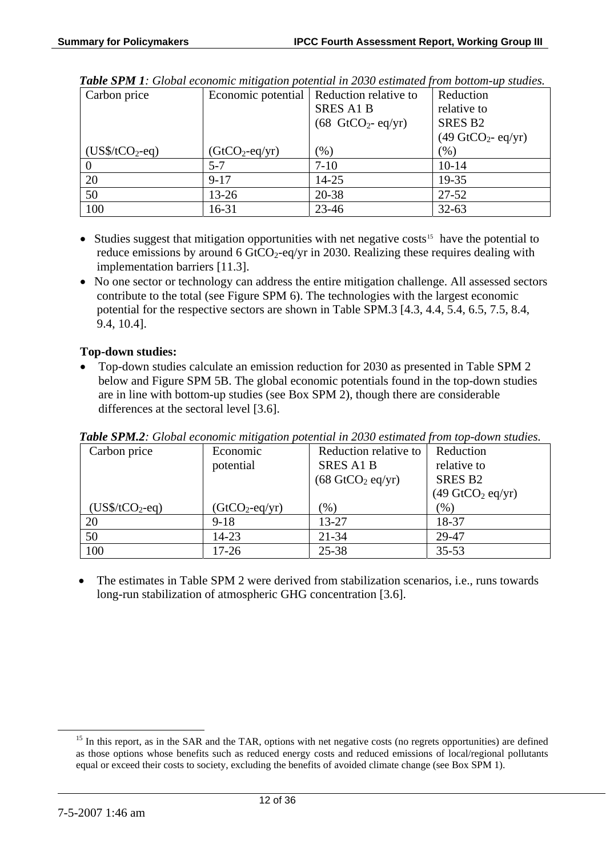| Carbon price    | Economic potential | Reduction relative to               | Reduction                            |
|-----------------|--------------------|-------------------------------------|--------------------------------------|
|                 |                    | <b>SRES A1 B</b>                    | relative to                          |
|                 |                    | $(68 \text{ GtCO}_2\text{- eq/yr})$ | <b>SRES B2</b>                       |
|                 |                    |                                     | $(49 \text{ GtCO}_2 \text{- eq/yr})$ |
| $(US$/tCO2-eq)$ | $(GtCO2-eq/yr)$    | (96)                                | (96)                                 |
|                 | $5 - 7$            | $7-10$                              | $10-14$                              |
| 20              | $9 - 17$           | 14-25                               | 19-35                                |
| 50              | $13 - 26$          | 20-38                               | $27 - 52$                            |
| 100             | 16-31              | $23 - 46$                           | $32 - 63$                            |

*Table SPM 1: Global economic mitigation potential in 2030 estimated from bottom-up studies.* 

- Studies suggest that mitigation opportunities with net negative costs<sup>15</sup> have the potential to reduce emissions by around 6 GtCO<sub>2</sub>-eq/yr in 2030. Realizing these requires dealing with implementation barriers [11.3].
- No one sector or technology can address the entire mitigation challenge. All assessed sectors contribute to the total (see Figure SPM 6). The technologies with the largest economic potential for the respective sectors are shown in Table SPM.3 [4.3, 4.4, 5.4, 6.5, 7.5, 8.4, 9.4, 10.4].

#### **Top-down studies:**

• Top-down studies calculate an emission reduction for 2030 as presented in Table SPM 2 below and Figure SPM 5B. The global economic potentials found in the top-down studies are in line with bottom-up studies (see Box SPM 2), though there are considerable differences at the sectoral level [3.6].

| Carbon price             | Economic        | Reduction relative to               | Reduction                           |
|--------------------------|-----------------|-------------------------------------|-------------------------------------|
|                          | potential       | <b>SRES A1 B</b>                    | relative to                         |
|                          |                 | $(68 \text{ GtCO}_2 \text{ eq/yr})$ | <b>SRES B2</b>                      |
|                          |                 |                                     | $(49 \text{ GtCO}_2 \text{ eq/yr})$ |
| $(US\$/tCO_2\text{-eq})$ | $(GtCO2-eq/yr)$ | $\mathcal{O}_0$ )                   | $(\%)$                              |
| 20                       | $9-18$          | 13-27                               | 18-37                               |
| 50                       | 14-23           | $21 - 34$                           | 29-47                               |
| 100                      | 17-26           | 25-38                               | $35 - 53$                           |

*Table SPM.2: Global economic mitigation potential in 2030 estimated from top-down studies.* 

• The estimates in Table SPM 2 were derived from stabilization scenarios, i.e., runs towards long-run stabilization of atmospheric GHG concentration [3.6].

 $15$  In this report, as in the SAR and the TAR, options with net negative costs (no regrets opportunities) are defined as those options whose benefits such as reduced energy costs and reduced emissions of local/regional pollutants equal or exceed their costs to society, excluding the benefits of avoided climate change (see Box SPM 1).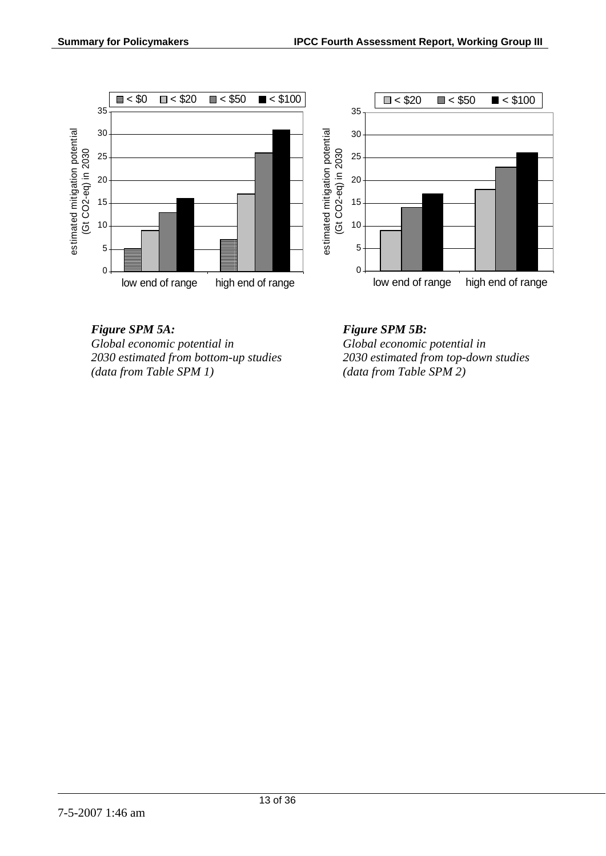

*Figure SPM 5A: Global economic potential in 2030 estimated from bottom-up studies (data from Table SPM 1)* 

*Figure SPM 5B:* 

*Global economic potential in 2030 estimated from top-down studies (data from Table SPM 2)*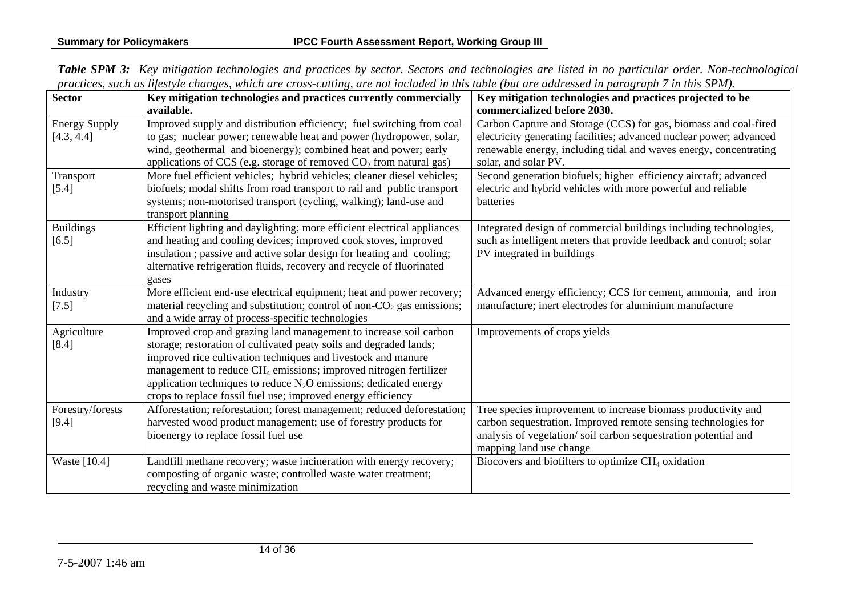| <b>Sector</b>                      | Key mitigation technologies and practices currently commercially<br>available.                                                                                                                                                                                                                                                                                                                                                  | Key mitigation technologies and practices projected to be<br>commercialized before 2030.                                                                                                                                             |
|------------------------------------|---------------------------------------------------------------------------------------------------------------------------------------------------------------------------------------------------------------------------------------------------------------------------------------------------------------------------------------------------------------------------------------------------------------------------------|--------------------------------------------------------------------------------------------------------------------------------------------------------------------------------------------------------------------------------------|
| <b>Energy Supply</b><br>[4.3, 4.4] | Improved supply and distribution efficiency; fuel switching from coal<br>to gas; nuclear power; renewable heat and power (hydropower, solar,<br>wind, geothermal and bioenergy); combined heat and power; early<br>applications of CCS (e.g. storage of removed $CO2$ from natural gas)                                                                                                                                         | Carbon Capture and Storage (CCS) for gas, biomass and coal-fired<br>electricity generating facilities; advanced nuclear power; advanced<br>renewable energy, including tidal and waves energy, concentrating<br>solar, and solar PV. |
| Transport<br>[5.4]                 | More fuel efficient vehicles; hybrid vehicles; cleaner diesel vehicles;<br>biofuels; modal shifts from road transport to rail and public transport<br>systems; non-motorised transport (cycling, walking); land-use and<br>transport planning                                                                                                                                                                                   | Second generation biofuels; higher efficiency aircraft; advanced<br>electric and hybrid vehicles with more powerful and reliable<br>batteries                                                                                        |
| <b>Buildings</b><br>$[6.5]$        | Efficient lighting and daylighting; more efficient electrical appliances<br>and heating and cooling devices; improved cook stoves, improved<br>insulation; passive and active solar design for heating and cooling;<br>alternative refrigeration fluids, recovery and recycle of fluorinated<br>gases                                                                                                                           | Integrated design of commercial buildings including technologies,<br>such as intelligent meters that provide feedback and control; solar<br>PV integrated in buildings                                                               |
| Industry<br>[7.5]                  | More efficient end-use electrical equipment; heat and power recovery;<br>material recycling and substitution; control of non-CO <sub>2</sub> gas emissions;<br>and a wide array of process-specific technologies                                                                                                                                                                                                                | Advanced energy efficiency; CCS for cement, ammonia, and iron<br>manufacture; inert electrodes for aluminium manufacture                                                                                                             |
| Agriculture<br>[8.4]               | Improved crop and grazing land management to increase soil carbon<br>storage; restoration of cultivated peaty soils and degraded lands;<br>improved rice cultivation techniques and livestock and manure<br>management to reduce CH <sub>4</sub> emissions; improved nitrogen fertilizer<br>application techniques to reduce $N_2O$ emissions; dedicated energy<br>crops to replace fossil fuel use; improved energy efficiency | Improvements of crops yields                                                                                                                                                                                                         |
| Forestry/forests<br>[9.4]          | Afforestation; reforestation; forest management; reduced deforestation;<br>harvested wood product management; use of forestry products for<br>bioenergy to replace fossil fuel use                                                                                                                                                                                                                                              | Tree species improvement to increase biomass productivity and<br>carbon sequestration. Improved remote sensing technologies for<br>analysis of vegetation/soil carbon sequestration potential and<br>mapping land use change         |
| Waste [10.4]                       | Landfill methane recovery; waste incineration with energy recovery;<br>composting of organic waste; controlled waste water treatment;<br>recycling and waste minimization                                                                                                                                                                                                                                                       | Biocovers and biofilters to optimize CH <sub>4</sub> oxidation                                                                                                                                                                       |

|  |                                                                                                                                               |  |  | Table SPM 3: Key mitigation technologies and practices by sector. Sectors and technologies are listed in no particular order. Non-technological |
|--|-----------------------------------------------------------------------------------------------------------------------------------------------|--|--|-------------------------------------------------------------------------------------------------------------------------------------------------|
|  | practices, such as lifestyle changes, which are cross-cutting, are not included in this table (but are addressed in paragraph 7 in this SPM). |  |  |                                                                                                                                                 |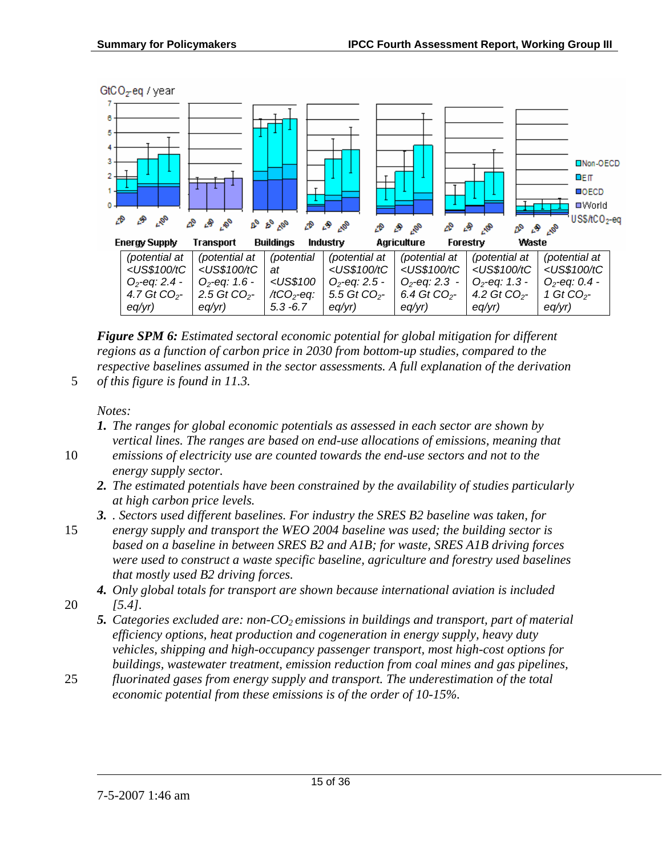

*Figure SPM 6: Estimated sectoral economic potential for global mitigation for different regions as a function of carbon price in 2030 from bottom-up studies, compared to the respective baselines assumed in the sector assessments. A full explanation of the derivation*  5 *of this figure is found in 11.3.* 

*Notes:* 

*1. The ranges for global economic potentials as assessed in each sector are shown by vertical lines. The ranges are based on end-use allocations of emissions, meaning that* 

10 *emissions of electricity use are counted towards the end-use sectors and not to the energy supply sector.* 

*2. The estimated potentials have been constrained by the availability of studies particularly at high carbon price levels.* 

*3. . Sectors used different baselines. For industry the SRES B2 baseline was taken, for* 

- 15 *energy supply and transport the WEO 2004 baseline was used; the building sector is based on a baseline in between SRES B2 and A1B; for waste, SRES A1B driving forces were used to construct a waste specific baseline, agriculture and forestry used baselines that mostly used B2 driving forces.*
- *4. Only global totals for transport are shown because international aviation is included*  20 *[5.4].* 
	- **5.** Categories excluded are: non-CO<sub>2</sub> emissions in buildings and transport, part of material *efficiency options, heat production and cogeneration in energy supply, heavy duty vehicles, shipping and high-occupancy passenger transport, most high-cost options for buildings, wastewater treatment, emission reduction from coal mines and gas pipelines,*
- 25 *fluorinated gases from energy supply and transport. The underestimation of the total economic potential from these emissions is of the order of 10-15%.*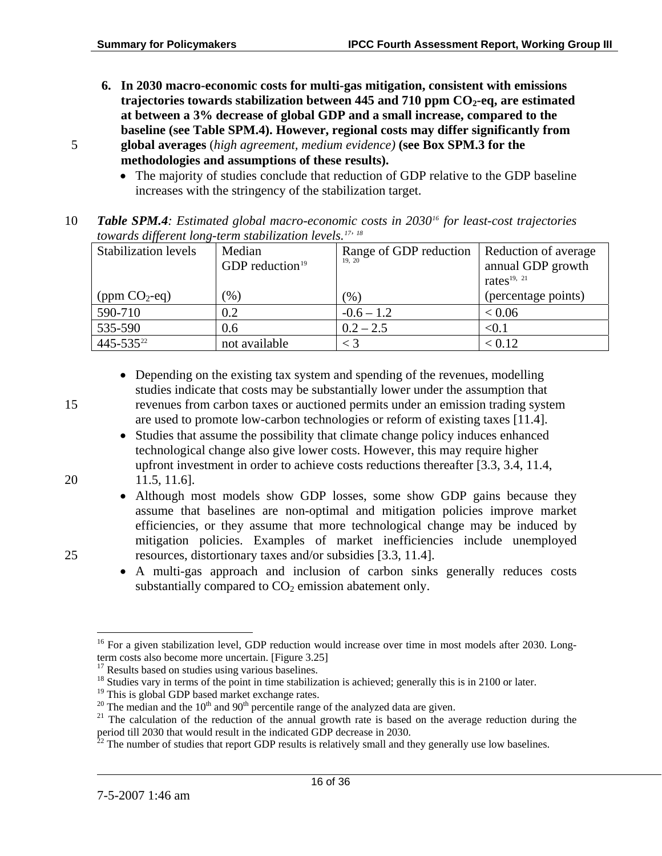**6. In 2030 macro-economic costs for multi-gas mitigation, consistent with emissions**  trajectories towards stabilization between 445 and 710 ppm CO<sub>2</sub>-eq, are estimated **at between a 3% decrease of global GDP and a small increase, compared to the baseline (see Table SPM.4). However, regional costs may differ significantly from** 

5 **global averages** (*high agreement, medium evidence)* **(see Box SPM.3 for the methodologies and assumptions of these results).** 

10 **Table SPM.4**: Estimated global macro-economic costs in 2030<sup>16</sup> for least-cost trajectories *towards different long-term stabilization levels.<sup>17, 18</sup>* 

| <b>Stabilization levels</b> | Median<br>GDP reduction $19$ | Range of GDP reduction<br>19.20 | Reduction of average<br>annual GDP growth<br>rates $19, 21$ |
|-----------------------------|------------------------------|---------------------------------|-------------------------------------------------------------|
| $(ppm CO2-eq)$              | $(\%)$                       | (%)                             | (percentage points)                                         |
| 590-710                     | 0.2                          | $-0.6 - 1.2$                    | < 0.06                                                      |
| 535-590                     | 0.6                          | $0.2 - 2.5$                     | < 0.1                                                       |
| 445-53522                   | not available                | $<$ 3                           | < 0.12                                                      |

- Depending on the existing tax system and spending of the revenues, modelling studies indicate that costs may be substantially lower under the assumption that 15 revenues from carbon taxes or auctioned permits under an emission trading system are used to promote low-carbon technologies or reform of existing taxes [11.4].
- Studies that assume the possibility that climate change policy induces enhanced technological change also give lower costs. However, this may require higher upfront investment in order to achieve costs reductions thereafter [3.3, 3.4, 11.4, 20 11.5, 11.6].
- Although most models show GDP losses, some show GDP gains because they assume that baselines are non-optimal and mitigation policies improve market efficiencies, or they assume that more technological change may be induced by mitigation policies. Examples of market inefficiencies include unemployed 25 resources, distortionary taxes and/or subsidies [3.3, 11.4].
	- A multi-gas approach and inclusion of carbon sinks generally reduces costs substantially compared to  $CO<sub>2</sub>$  emission abatement only.

<sup>•</sup> The majority of studies conclude that reduction of GDP relative to the GDP baseline increases with the stringency of the stabilization target.

 $\overline{a}$ <sup>16</sup> For a given stabilization level, GDP reduction would increase over time in most models after 2030. Longterm costs also become more uncertain. [Figure 3.25]

<sup>&</sup>lt;sup>17</sup> Results based on studies using various baselines.

 $18$  Studies vary in terms of the point in time stabilization is achieved; generally this is in 2100 or later.

<sup>&</sup>lt;sup>19</sup> This is global GDP based market exchange rates.

<sup>&</sup>lt;sup>20</sup> The median and the  $10<sup>th</sup>$  and  $90<sup>th</sup>$  percentile range of the analyzed data are given.

 $21$  The calculation of the reduction of the annual growth rate is based on the average reduction during the period till 2030 that would result in the indicated GDP decrease in 2030.

 $22$  The number of studies that report GDP results is relatively small and they generally use low baselines.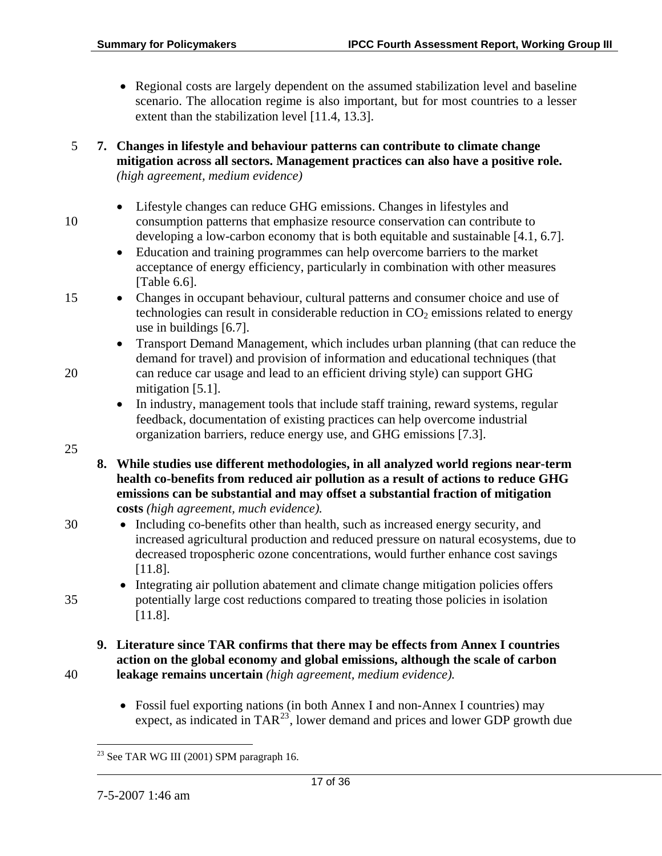- Regional costs are largely dependent on the assumed stabilization level and baseline scenario. The allocation regime is also important, but for most countries to a lesser extent than the stabilization level [11.4, 13.3].
- 5 **7. Changes in lifestyle and behaviour patterns can contribute to climate change mitigation across all sectors. Management practices can also have a positive role.**  *(high agreement, medium evidence)*
- Lifestyle changes can reduce GHG emissions. Changes in lifestyles and 10 consumption patterns that emphasize resource conservation can contribute to developing a low-carbon economy that is both equitable and sustainable [4.1, 6.7].
	- Education and training programmes can help overcome barriers to the market acceptance of energy efficiency, particularly in combination with other measures [Table 6.6].
- 15 Changes in occupant behaviour, cultural patterns and consumer choice and use of technologies can result in considerable reduction in  $CO<sub>2</sub>$  emissions related to energy use in buildings [6.7].
- Transport Demand Management, which includes urban planning (that can reduce the demand for travel) and provision of information and educational techniques (that 20 can reduce car usage and lead to an efficient driving style) can support GHG mitigation [5.1].
	- In industry, management tools that include staff training, reward systems, regular feedback, documentation of existing practices can help overcome industrial organization barriers, reduce energy use, and GHG emissions [7.3].
	- **8. While studies use different methodologies, in all analyzed world regions near-term health co-benefits from reduced air pollution as a result of actions to reduce GHG emissions can be substantial and may offset a substantial fraction of mitigation costs** *(high agreement, much evidence).*
- 30 Including co-benefits other than health, such as increased energy security, and increased agricultural production and reduced pressure on natural ecosystems, due to decreased tropospheric ozone concentrations, would further enhance cost savings [11.8].
- 

• Integrating air pollution abatement and climate change mitigation policies offers 35 potentially large cost reductions compared to treating those policies in isolation [11.8].

#### **9. Literature since TAR confirms that there may be effects from Annex I countries action on the global economy and global emissions, although the scale of carbon**  40 **leakage remains uncertain** *(high agreement, medium evidence).*

• Fossil fuel exporting nations (in both Annex I and non-Annex I countries) may expect, as indicated in TAR<sup>23</sup>, lower demand and prices and lower GDP growth due

 $\overline{a}$  $23$  See TAR WG III (2001) SPM paragraph 16.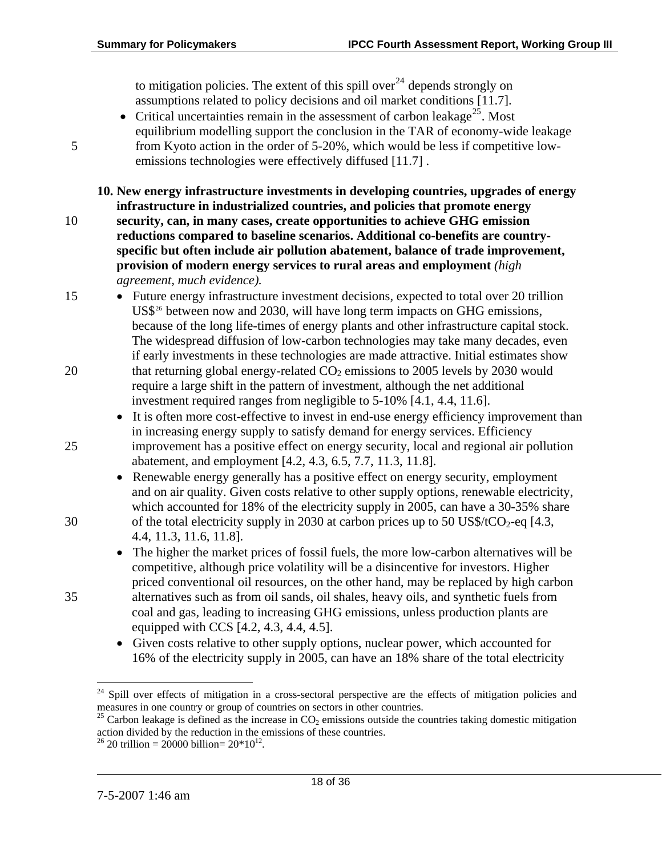to mitigation policies. The extent of this spill over $24$  depends strongly on assumptions related to policy decisions and oil market conditions [11.7].

• Critical uncertainties remain in the assessment of carbon leakage<sup>25</sup>. Most equilibrium modelling support the conclusion in the TAR of economy-wide leakage 5 from Kyoto action in the order of 5-20%, which would be less if competitive lowemissions technologies were effectively diffused [11.7] .

**10. New energy infrastructure investments in developing countries, upgrades of energy infrastructure in industrialized countries, and policies that promote energy**  10 **security, can, in many cases, create opportunities to achieve GHG emission**  reductions compared to baseline scenarios. Additional co-benefits are country**specific but often include air pollution abatement, balance of trade improvement, provision of modern energy services to rural areas and employment** *(high agreement, much evidence).*

- 15 Future energy infrastructure investment decisions, expected to total over 20 trillion  $US$^{26}$  between now and 2030, will have long term impacts on GHG emissions, because of the long life-times of energy plants and other infrastructure capital stock. The widespread diffusion of low-carbon technologies may take many decades, even if early investments in these technologies are made attractive. Initial estimates show 20 that returning global energy-related  $CO<sub>2</sub>$  emissions to 2005 levels by 2030 would require a large shift in the pattern of investment, although the net additional investment required ranges from negligible to 5-10% [4.1, 4.4, 11.6].
- It is often more cost-effective to invest in end-use energy efficiency improvement than in increasing energy supply to satisfy demand for energy services. Efficiency 25 improvement has a positive effect on energy security, local and regional air pollution abatement, and employment [4.2, 4.3, 6.5, 7.7, 11.3, 11.8].
- Renewable energy generally has a positive effect on energy security, employment and on air quality. Given costs relative to other supply options, renewable electricity, which accounted for 18% of the electricity supply in 2005, can have a 30-35% share 30 of the total electricity supply in 2030 at carbon prices up to 50 US\$/tCO<sub>2</sub>-eq [4.3, 4.4, 11.3, 11.6, 11.8].
- The higher the market prices of fossil fuels, the more low-carbon alternatives will be competitive, although price volatility will be a disincentive for investors. Higher priced conventional oil resources, on the other hand, may be replaced by high carbon 35 alternatives such as from oil sands, oil shales, heavy oils, and synthetic fuels from coal and gas, leading to increasing GHG emissions, unless production plants are equipped with CCS [4.2, 4.3, 4.4, 4.5].
	- Given costs relative to other supply options, nuclear power, which accounted for 16% of the electricity supply in 2005, can have an 18% share of the total electricity

<sup>&</sup>lt;sup>24</sup> Spill over effects of mitigation in a cross-sectoral perspective are the effects of mitigation policies and measures in one country or group of countries on sectors in other countries.

<sup>&</sup>lt;sup>25</sup> Carbon leakage is defined as the increase in  $CO<sub>2</sub>$  emissions outside the countries taking domestic mitigation action divided by the reduction in the emissions of these countries.

<sup>&</sup>lt;sup>26</sup> 20 trillion = 20000 billion=  $20*10^{12}$ .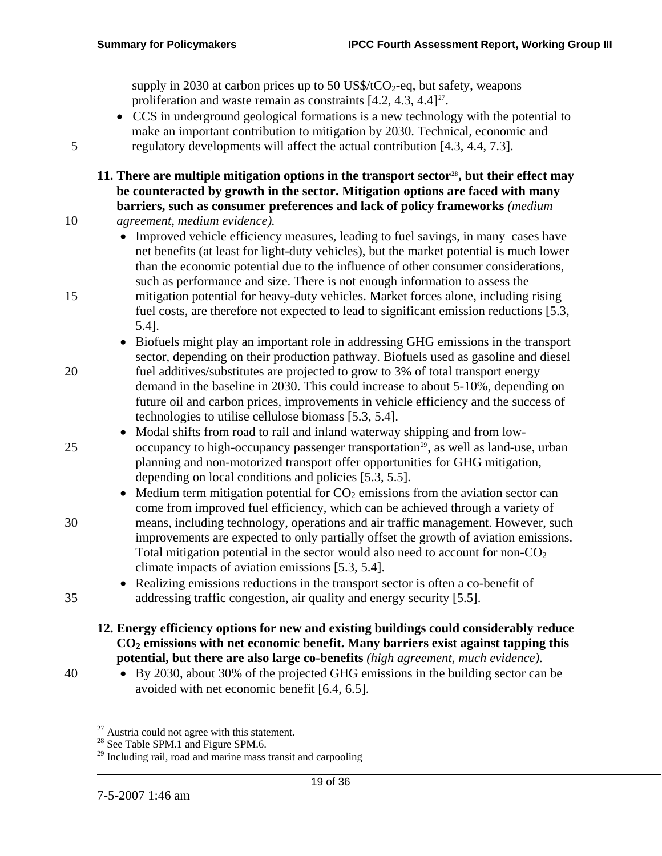supply in 2030 at carbon prices up to 50  $\text{US}\$ t $\text{CO}_2$ -eq, but safety, weapons proliferation and waste remain as constraints  $[4.2, 4.3, 4.4]^{27}$ . • CCS in underground geological formations is a new technology with the potential to make an important contribution to mitigation by 2030. Technical, economic and 5 regulatory developments will affect the actual contribution [4.3, 4.4, 7.3]. **11. There are multiple mitigation options in the transport sector<sup>28</sup>, but their effect may be counteracted by growth in the sector. Mitigation options are faced with many barriers, such as consumer preferences and lack of policy frameworks** *(medium*  10 *agreement, medium evidence).* • Improved vehicle efficiency measures, leading to fuel savings, in many cases have net benefits (at least for light-duty vehicles), but the market potential is much lower than the economic potential due to the influence of other consumer considerations, such as performance and size. There is not enough information to assess the 15 mitigation potential for heavy-duty vehicles. Market forces alone, including rising fuel costs, are therefore not expected to lead to significant emission reductions [5.3, 5.4]. • Biofuels might play an important role in addressing GHG emissions in the transport sector, depending on their production pathway. Biofuels used as gasoline and diesel 20 fuel additives/substitutes are projected to grow to 3% of total transport energy demand in the baseline in 2030. This could increase to about 5-10%, depending on future oil and carbon prices, improvements in vehicle efficiency and the success of technologies to utilise cellulose biomass [5.3, 5.4]. • Modal shifts from road to rail and inland waterway shipping and from low- $25$  occupancy to high-occupancy passenger transportation<sup>29</sup>, as well as land-use, urban planning and non-motorized transport offer opportunities for GHG mitigation, depending on local conditions and policies [5.3, 5.5]. • Medium term mitigation potential for  $CO<sub>2</sub>$  emissions from the aviation sector can come from improved fuel efficiency, which can be achieved through a variety of 30 means, including technology, operations and air traffic management. However, such improvements are expected to only partially offset the growth of aviation emissions. Total mitigation potential in the sector would also need to account for non- $CO<sub>2</sub>$ climate impacts of aviation emissions [5.3, 5.4]. • Realizing emissions reductions in the transport sector is often a co-benefit of 35 addressing traffic congestion, air quality and energy security [5.5].

12. Energy efficiency options for new and existing buildings could considerably reduce CO<sub>2</sub> emissions with net economic benefit. Many barriers exist against tapping this **potential, but there are also large co-benefits** *(high agreement, much evidence)*.

40 • By 2030, about 30% of the projected GHG emissions in the building sector can be avoided with net economic benefit [6.4, 6.5].

 $\overline{a}$  $27$  Austria could not agree with this statement.

 $28$  See Table SPM.1 and Figure SPM.6.

<sup>&</sup>lt;sup>29</sup> Including rail, road and marine mass transit and carpooling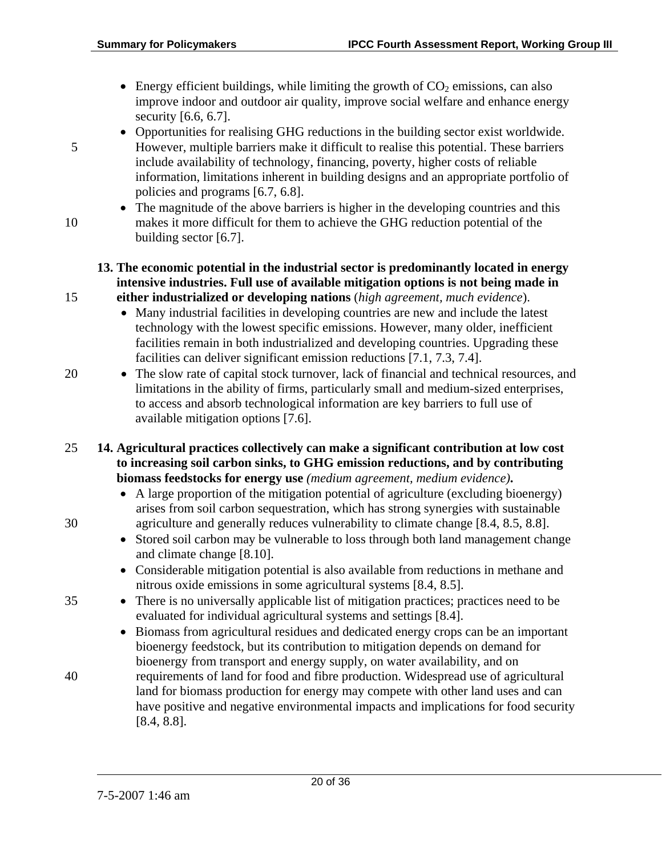- Energy efficient buildings, while limiting the growth of  $CO<sub>2</sub>$  emissions, can also improve indoor and outdoor air quality, improve social welfare and enhance energy security [6.6, 6.7].
- Opportunities for realising GHG reductions in the building sector exist worldwide. 5 However, multiple barriers make it difficult to realise this potential. These barriers include availability of technology, financing, poverty, higher costs of reliable information, limitations inherent in building designs and an appropriate portfolio of policies and programs [6.7, 6.8].
- The magnitude of the above barriers is higher in the developing countries and this 10 makes it more difficult for them to achieve the GHG reduction potential of the building sector [6.7].

13. The economic potential in the industrial sector is predominantly located in energy **intensive industries. Full use of available mitigation options is not being made in**  15 **either industrialized or developing nations** (*high agreement, much evidence*).

- Many industrial facilities in developing countries are new and include the latest technology with the lowest specific emissions. However, many older, inefficient facilities remain in both industrialized and developing countries. Upgrading these facilities can deliver significant emission reductions [7.1, 7.3, 7.4].
- 20 The slow rate of capital stock turnover, lack of financial and technical resources, and limitations in the ability of firms, particularly small and medium-sized enterprises, to access and absorb technological information are key barriers to full use of available mitigation options [7.6].
- **14. Agricultural practices collectively can make a significant contribution at low cost to increasing soil carbon sinks, to GHG emission reductions, and by contributing biomass feedstocks for energy use** *(medium agreement, medium evidence)***.**
- A large proportion of the mitigation potential of agriculture (excluding bioenergy) arises from soil carbon sequestration, which has strong synergies with sustainable 30 agriculture and generally reduces vulnerability to climate change [8.4, 8.5, 8.8].
	- Stored soil carbon may be vulnerable to loss through both land management change and climate change [8.10].
	- Considerable mitigation potential is also available from reductions in methane and nitrous oxide emissions in some agricultural systems [8.4, 8.5].
- 35 There is no universally applicable list of mitigation practices; practices need to be evaluated for individual agricultural systems and settings [8.4].
	- Biomass from agricultural residues and dedicated energy crops can be an important bioenergy feedstock, but its contribution to mitigation depends on demand for bioenergy from transport and energy supply, on water availability, and on
- 40 requirements of land for food and fibre production. Widespread use of agricultural land for biomass production for energy may compete with other land uses and can have positive and negative environmental impacts and implications for food security [8.4, 8.8].

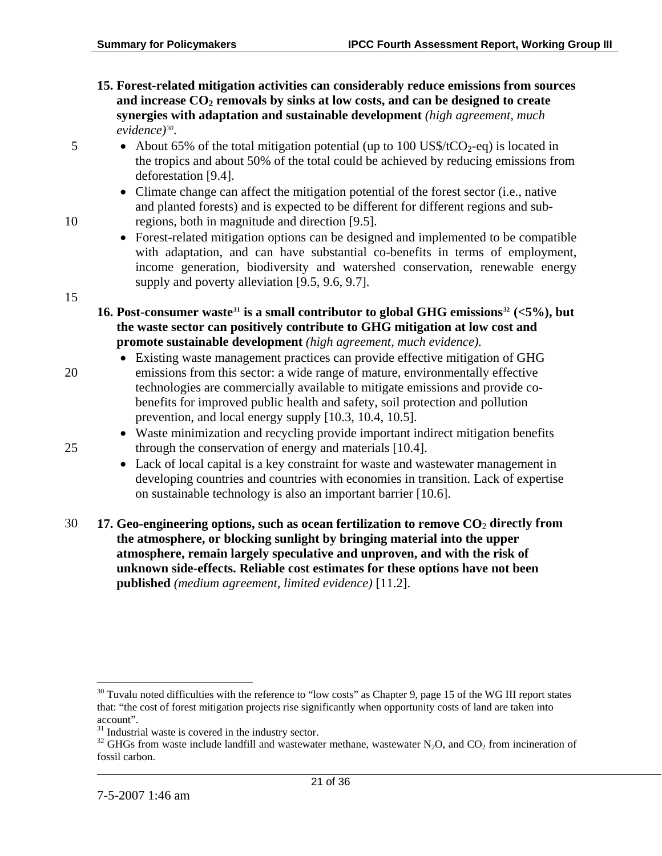- **15. Forest-related mitigation activities can considerably reduce emissions from sources**  and increase CO<sub>2</sub> removals by sinks at low costs, and can be designed to create **synergies with adaptation and sustainable development** *(high agreement, much*   $e$ *vidence*)<sup>30</sup>*.*
- 
- 5 About 65% of the total mitigation potential (up to 100 US\$/tCO<sub>2</sub>-eq) is located in the tropics and about 50% of the total could be achieved by reducing emissions from deforestation [9.4].
- Climate change can affect the mitigation potential of the forest sector (i.e., native and planted forests) and is expected to be different for different regions and sub-10 regions, both in magnitude and direction [9.5].
	- Forest-related mitigation options can be designed and implemented to be compatible with adaptation, and can have substantial co-benefits in terms of employment, income generation, biodiversity and watershed conservation, renewable energy supply and poverty alleviation [9.5, 9.6, 9.7].
- 15
- **16.** Post-consumer waste<sup>31</sup> is a small contributor to global GHG emissions<sup>32</sup> ( $\lt 5\%$ ), but the waste sector can positively contribute to GHG mitigation at low cost and **promote sustainable development** *(high agreement, much evidence).*
- Existing waste management practices can provide effective mitigation of GHG 20 emissions from this sector: a wide range of mature, environmentally effective technologies are commercially available to mitigate emissions and provide cobenefits for improved public health and safety, soil protection and pollution prevention, and local energy supply [10.3, 10.4, 10.5].
- Waste minimization and recycling provide important indirect mitigation benefits 25 through the conservation of energy and materials [10.4].
	- Lack of local capital is a key constraint for waste and wastewater management in developing countries and countries with economies in transition. Lack of expertise on sustainable technology is also an important barrier [10.6].
- 30 **17.** Geo-engineering options, such as ocean fertilization to remove CO<sub>2</sub> directly from **the atmosphere, or blocking sunlight by bringing material into the upper atmosphere, remain largely speculative and unproven, and with the risk of unknown side-effects. Reliable cost estimates for these options have not been published** *(medium agreement, limited evidence)* [11.2].

 $30$  Tuvalu noted difficulties with the reference to "low costs" as Chapter 9, page 15 of the WG III report states that: "the cost of forest mitigation projects rise significantly when opportunity costs of land are taken into account".

 $31$  Industrial waste is covered in the industry sector.

<sup>&</sup>lt;sup>32</sup> GHGs from waste include landfill and wastewater methane, wastewater N<sub>2</sub>O, and CO<sub>2</sub> from incineration of fossil carbon.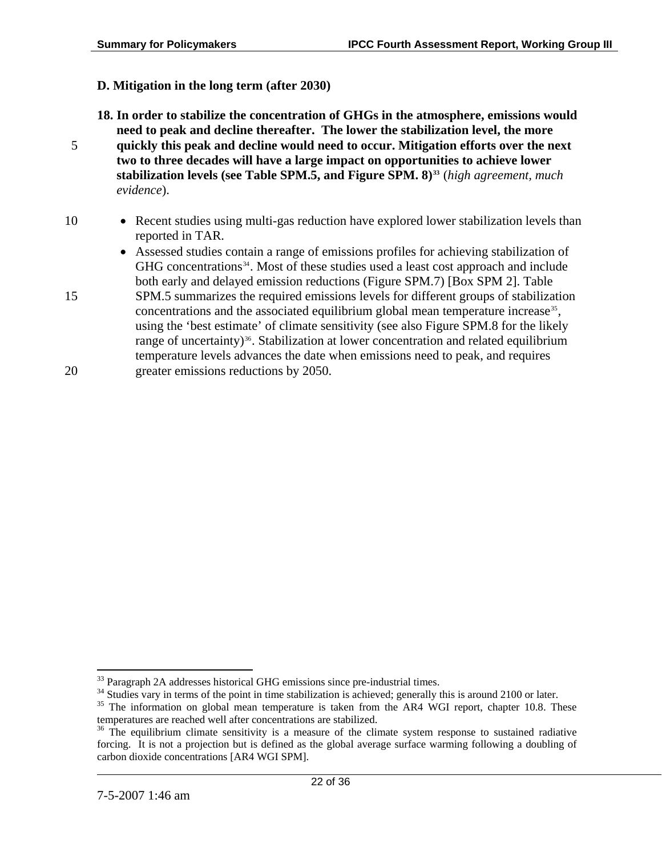- **D. Mitigation in the long term (after 2030)**
- **18. In order to stabilize the concentration of GHGs in the atmosphere, emissions would need to peak and decline thereafter. The lower the stabilization level, the more**  5 **quickly this peak and decline would need to occur. Mitigation efforts over the next two to three decades will have a large impact on opportunities to achieve lower stabilization levels (see Table SPM.5, and Figure SPM. 8)<sup>33</sup> (high agreement, much** *agreement***)** *evidence*).
- 10 Recent studies using multi-gas reduction have explored lower stabilization levels than reported in TAR.
	- Assessed studies contain a range of emissions profiles for achieving stabilization of GHG concentrations<sup>34</sup>. Most of these studies used a least cost approach and include both early and delayed emission reductions (Figure SPM.7) [Box SPM 2]. Table
- 15 SPM.5 summarizes the required emissions levels for different groups of stabilization concentrations and the associated equilibrium global mean temperature increase<sup>35</sup>, using the 'best estimate' of climate sensitivity (see also Figure SPM.8 for the likely range of uncertainty)<sup>36</sup>. Stabilization at lower concentration and related equilibrium temperature levels advances the date when emissions need to peak, and requires 20 greater emissions reductions by 2050.

 $33$  Paragraph 2A addresses historical GHG emissions since pre-industrial times.

 $34$  Studies vary in terms of the point in time stabilization is achieved; generally this is around 2100 or later.

 $35$  The information on global mean temperature is taken from the AR4 WGI report, chapter 10.8. These temperatures are reached well after concentrations are stabilized.

 $36$  The equilibrium climate sensitivity is a measure of the climate system response to sustained radiative forcing. It is not a projection but is defined as the global average surface warming following a doubling of carbon dioxide concentrations [AR4 WGI SPM].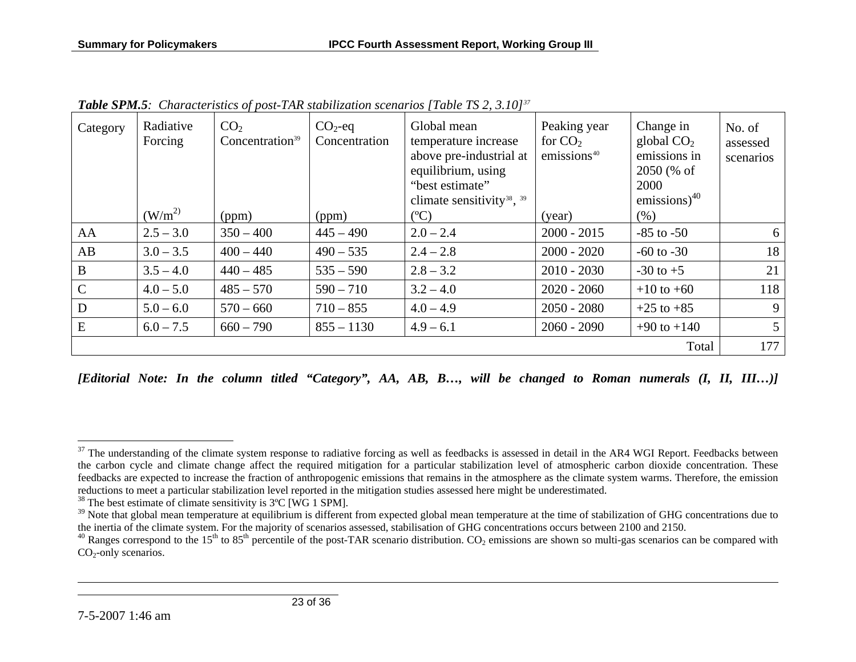| Category     | Radiative<br>Forcing | CO <sub>2</sub><br>Concentration <sup>39</sup> | $CO2$ -eq<br>Concentration | Global mean<br>temperature increase<br>above pre-industrial at<br>equilibrium, using<br>"best estimate"<br>climate sensitivity $^{38}$ , $^{39}$ | Peaking year<br>for $CO2$<br>emissions <sup>40</sup> | Change in<br>global $CO2$<br>emissions in<br>2050 (% of<br>2000<br>emissions) $40$ | No. of<br>assessed<br>scenarios |
|--------------|----------------------|------------------------------------------------|----------------------------|--------------------------------------------------------------------------------------------------------------------------------------------------|------------------------------------------------------|------------------------------------------------------------------------------------|---------------------------------|
|              | $(W/m^2)$            | (ppm)                                          | (ppm)                      | $(C^{\circ}C)$                                                                                                                                   | (year)                                               | (% )                                                                               |                                 |
| AA           | $2.5 - 3.0$          | $350 - 400$                                    | $445 - 490$                | $2.0 - 2.4$                                                                                                                                      | $2000 - 2015$                                        | $-85$ to $-50$                                                                     | 6                               |
| AB           | $3.0 - 3.5$          | $400 - 440$                                    | $490 - 535$                | $2.4 - 2.8$                                                                                                                                      | $2000 - 2020$                                        | $-60$ to $-30$                                                                     | 18                              |
| $\mathbf B$  | $3.5 - 4.0$          | $440 - 485$                                    | $535 - 590$                | $2.8 - 3.2$                                                                                                                                      | $2010 - 2030$                                        | $-30$ to $+5$                                                                      | 21                              |
| $\mathsf{C}$ | $4.0 - 5.0$          | $485 - 570$                                    | $590 - 710$                | $3.2 - 4.0$                                                                                                                                      | $2020 - 2060$                                        | $+10$ to $+60$                                                                     | 118                             |
| D            | $5.0 - 6.0$          | $570 - 660$                                    | $710 - 855$                | $4.0 - 4.9$                                                                                                                                      | $2050 - 2080$                                        | $+25$ to $+85$                                                                     | 9                               |
| ${\bf E}$    | $6.0 - 7.5$          | $660 - 790$                                    | $855 - 1130$               | $4.9 - 6.1$                                                                                                                                      | $2060 - 2090$                                        | $+90$ to $+140$                                                                    | $5\overline{)}$                 |
|              |                      |                                                |                            |                                                                                                                                                  |                                                      | Total                                                                              | 177                             |

*Table SPM.5: Characteristics of post-TAR stabilization scenarios [Table TS 2, 3.10]<sup>37</sup>* 

*[Editorial Note: In the column titled "Category", AA, AB, B…, will be changed to Roman numerals (I, II, III…)]*

 $37$  The understanding of the climate system response to radiative forcing as well as feedbacks is assessed in detail in the AR4 WGI Report. Feedbacks between the carbon cycle and climate change affect the required mitigation for a particular stabilization level of atmospheric carbon dioxide concentration. These feedbacks are expected to increase the fraction of anthropogenic emissions that remains in the atmosphere as the climate system warms. Therefore, the emission reductions to meet a particular stabilization level reported in the mitigation studies assessed here might be underestimated.

 $38$  The best estimate of climate sensitivity is  $3^{\circ}$ C [WG 1 SPM].

<sup>&</sup>lt;sup>39</sup> Note that global mean temperature at equilibrium is different from expected global mean temperature at the time of stabilization of GHG concentrations due to the inertia of the climate system. For the majority of scenarios assessed, stabilisation of GHG concentrations occurs between 2100 and 2150.

<sup>&</sup>lt;sup>40</sup> Ranges correspond to the 15<sup>th</sup> to 85<sup>th</sup> percentile of the post-TAR scenario distribution. CO<sub>2</sub> emissions are shown so multi-gas scenarios can be compared with  $CO<sub>2</sub>$ -only scenarios.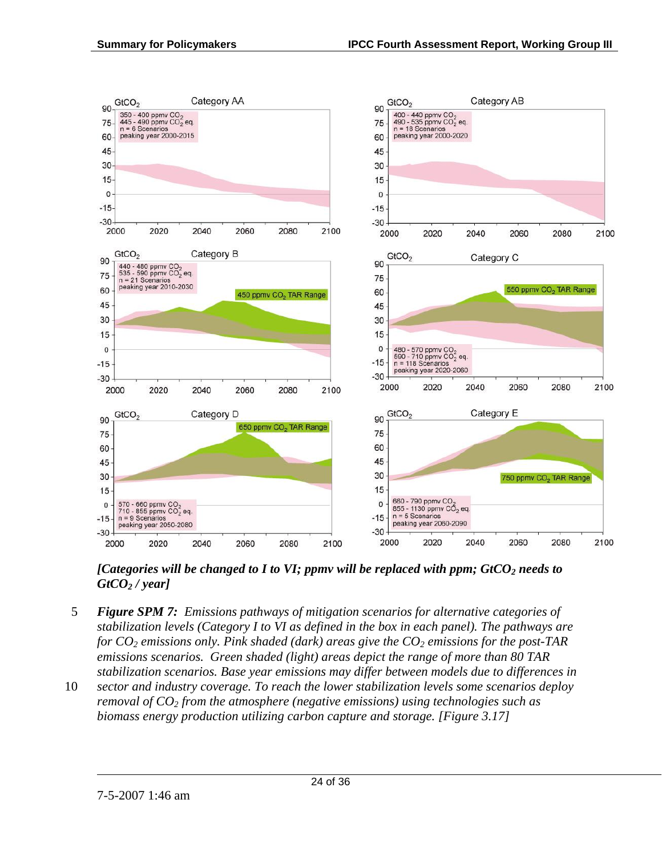

[Categories will be changed to I to VI; ppmv will be replaced with ppm; GtCO<sub>2</sub> needs to *GtCO*<sub>2</sub> / year]

- 5 *Figure SPM 7: Emissions pathways of mitigation scenarios for alternative categories of stabilization levels (Category I to VI as defined in the box in each panel). The pathways are for CO*<sub>2</sub> emissions only. Pink shaded (dark) areas give the CO<sub>2</sub> emissions for the post-TAR *emissions scenarios. Green shaded (light) areas depict the range of more than 80 TAR stabilization scenarios. Base year emissions may differ between models due to differences in*
- 10 *sector and industry coverage. To reach the lower stabilization levels some scenarios deploy removal of CO<sub>2</sub> from the atmosphere (negative emissions) using technologies such as biomass energy production utilizing carbon capture and storage. [Figure 3.17]*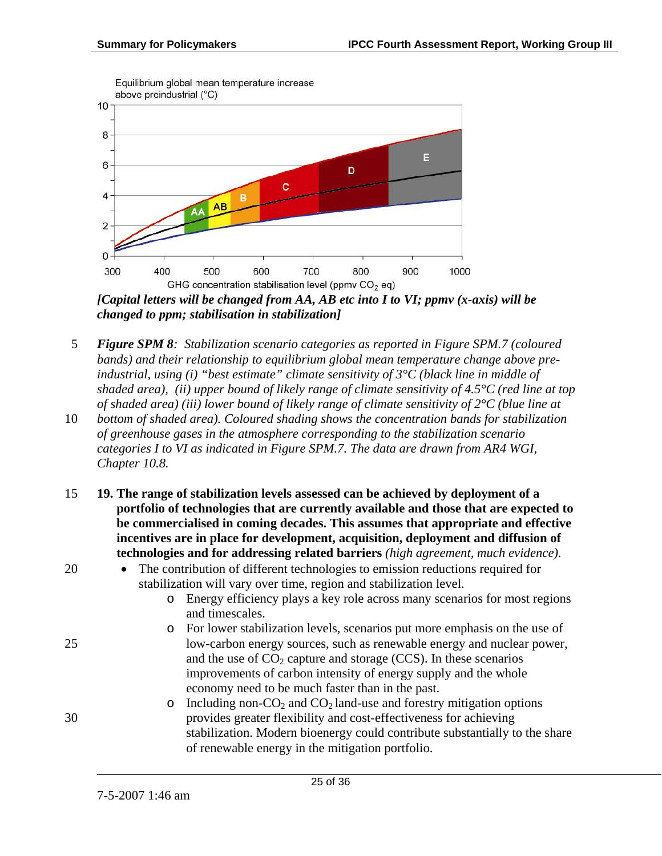Equilibrium global mean temperature increase above preindustrial (°C)



*[Capital letters will be changed from AA, AB etc into I to VI; ppmv (x-axis) will be changed to ppm; stabilisation in stabilization]* 

- 5 *Figure SPM 8: Stabilization scenario categories as reported in Figure SPM.7 (coloured bands) and their relationship to equilibrium global mean temperature change above preindustrial, using (i) "best estimate" climate sensitivity of 3°C (black line in middle of shaded area), (ii) upper bound of likely range of climate sensitivity of 4.5°C (red line at top of shaded area) (iii) lower bound of likely range of climate sensitivity of 2°C (blue line at*
- 10 *bottom of shaded area). Coloured shading shows the concentration bands for stabilization of greenhouse gases in the atmosphere corresponding to the stabilization scenario categories I to VI as indicated in Figure SPM.7. The data are drawn from AR4 WGI, Chapter 10.8.*
- 15 **19. The range of stabilization levels assessed can be achieved by deployment of a portfolio of technologies that are currently available and those that are expected to be commercialised in coming decades. This assumes that appropriate and effective incentives are in place for development, acquisition, deployment and diffusion of technologies and for addressing related barriers** *(high agreement, much evidence).*
- 20 The contribution of different technologies to emission reductions required for stabilization will vary over time, region and stabilization level.
	- o Energy efficiency plays a key role across many scenarios for most regions and timescales.
- o For lower stabilization levels, scenarios put more emphasis on the use of 25 low-carbon energy sources, such as renewable energy and nuclear power, and the use of  $CO<sub>2</sub>$  capture and storage (CCS). In these scenarios improvements of carbon intensity of energy supply and the whole economy need to be much faster than in the past.
- $\circ$  Including non-CO<sub>2</sub> and CO<sub>2</sub> land-use and forestry mitigation options 30 provides greater flexibility and cost-effectiveness for achieving stabilization. Modern bioenergy could contribute substantially to the share of renewable energy in the mitigation portfolio.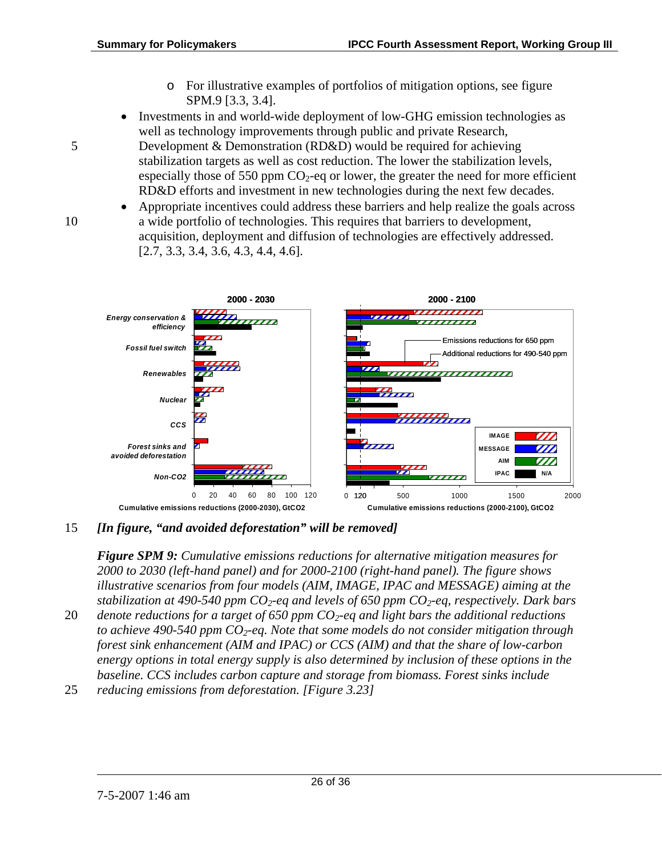o For illustrative examples of portfolios of mitigation options, see figure SPM.9 [3.3, 3.4].

• Investments in and world-wide deployment of low-GHG emission technologies as well as technology improvements through public and private Research, 5 Development & Demonstration (RD&D) would be required for achieving stabilization targets as well as cost reduction. The lower the stabilization levels, especially those of 550 ppm  $CO<sub>2</sub>$ -eq or lower, the greater the need for more efficient

RD&D efforts and investment in new technologies during the next few decades. • Appropriate incentives could address these barriers and help realize the goals across

10 a wide portfolio of technologies. This requires that barriers to development, acquisition, deployment and diffusion of technologies are effectively addressed. [2.7, 3.3, 3.4, 3.6, 4.3, 4.4, 4.6].



# 15 *[In figure, "and avoided deforestation" will be removed]*

*Figure SPM 9: Cumulative emissions reductions for alternative mitigation measures for 2000 to 2030 (left-hand panel) and for 2000-2100 (right-hand panel). The figure shows illustrative scenarios from four models (AIM, IMAGE, IPAC and MESSAGE) aiming at the stabilization at 490-540 ppm CO*<sub>2</sub>-eq and levels of 650 ppm CO<sub>2</sub>-eq, respectively. Dark bars

- 20 denote reductions for a target of 650 ppm CO<sub>2</sub>-eq and light bars the additional reductions to achieve 490-540 ppm CO<sub>2</sub>-eq. Note that some models do not consider mitigation through *forest sink enhancement (AIM and IPAC) or CCS (AIM) and that the share of low-carbon energy options in total energy supply is also determined by inclusion of these options in the baseline. CCS includes carbon capture and storage from biomass. Forest sinks include*
- 25 *reducing emissions from deforestation. [Figure 3.23]*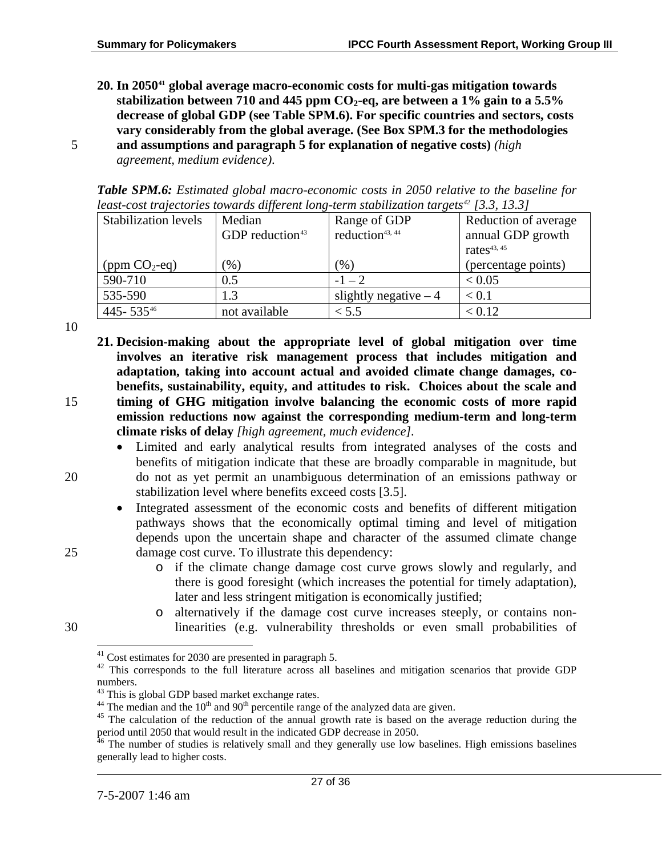20. In 2050<sup>41</sup> global average macro-economic costs for multi-gas mitigation towards stabilization between 710 and 445 ppm CO<sub>2</sub>-eq, are between a 1% gain to a 5.5% **decrease of global GDP (see Table SPM.6). For specific countries and sectors, costs vary considerably from the global average. (See Box SPM.3 for the methodologies**  5 **and assumptions and paragraph 5 for explanation of negative costs)** *(high* 

*agreement, medium evidence)*.

| <b>Table SPM.6:</b> Estimated global macro-economic costs in 2050 relative to the baseline for      |  |  |  |  |
|-----------------------------------------------------------------------------------------------------|--|--|--|--|
| least-cost trajectories towards different long-term stabilization targets <sup>42</sup> [3.3, 13.3] |  |  |  |  |

|                             | icasi così irajectories iomaras algerent iong term stabutganon iargeis<br>$1 \cup \dots \cup 1 \cup \dots \cup 1$ |                             |                      |  |  |  |  |  |
|-----------------------------|-------------------------------------------------------------------------------------------------------------------|-----------------------------|----------------------|--|--|--|--|--|
| <b>Stabilization levels</b> | Median                                                                                                            | Range of GDP                | Reduction of average |  |  |  |  |  |
|                             | GDP reduction $43$                                                                                                | reduction <sup>43, 44</sup> | annual GDP growth    |  |  |  |  |  |
|                             |                                                                                                                   |                             | rates $43, 45$       |  |  |  |  |  |
| $(ppm CO2-eq)$              | $\mathcal{O}(6)$                                                                                                  | $(\%)$                      | (percentage points)  |  |  |  |  |  |
| 590-710                     | 0.5                                                                                                               | $-1-2$                      | < 0.05               |  |  |  |  |  |
| 535-590                     | 1.3                                                                                                               | slightly negative $-4$      | < 0.1                |  |  |  |  |  |
| 445-53546                   | not available                                                                                                     | < 5.5                       | < 0.12               |  |  |  |  |  |

10

- **21. Decision-making about the appropriate level of global mitigation over time involves an iterative risk management process that includes mitigation and adaptation, taking into account actual and avoided climate change damages, cobenefits, sustainability, equity, and attitudes to risk. Choices about the scale and**  15 **timing of GHG mitigation involve balancing the economic costs of more rapid emission reductions now against the corresponding medium-term and long-term climate risks of delay** *[high agreement, much evidence].*
- Limited and early analytical results from integrated analyses of the costs and benefits of mitigation indicate that these are broadly comparable in magnitude, but 20 do not as yet permit an unambiguous determination of an emissions pathway or stabilization level where benefits exceed costs [3.5].
- Integrated assessment of the economic costs and benefits of different mitigation pathways shows that the economically optimal timing and level of mitigation depends upon the uncertain shape and character of the assumed climate change 25 damage cost curve. To illustrate this dependency:
	- o if the climate change damage cost curve grows slowly and regularly, and there is good foresight (which increases the potential for timely adaptation), later and less stringent mitigation is economically justified;
- o alternatively if the damage cost curve increases steeply, or contains non-30 linearities (e.g. vulnerability thresholds or even small probabilities of

 $41$  Cost estimates for 2030 are presented in paragraph 5.

<sup>&</sup>lt;sup>42</sup> This corresponds to the full literature across all baselines and mitigation scenarios that provide GDP numbers.

 $43$  This is global GDP based market exchange rates.

 $44$  The median and the  $10<sup>th</sup>$  and  $90<sup>th</sup>$  percentile range of the analyzed data are given.

<sup>&</sup>lt;sup>45</sup> The calculation of the reduction of the annual growth rate is based on the average reduction during the period until 2050 that would result in the indicated GDP decrease in 2050.

<sup>&</sup>lt;sup>16</sup> The number of studies is relatively small and they generally use low baselines. High emissions baselines generally lead to higher costs.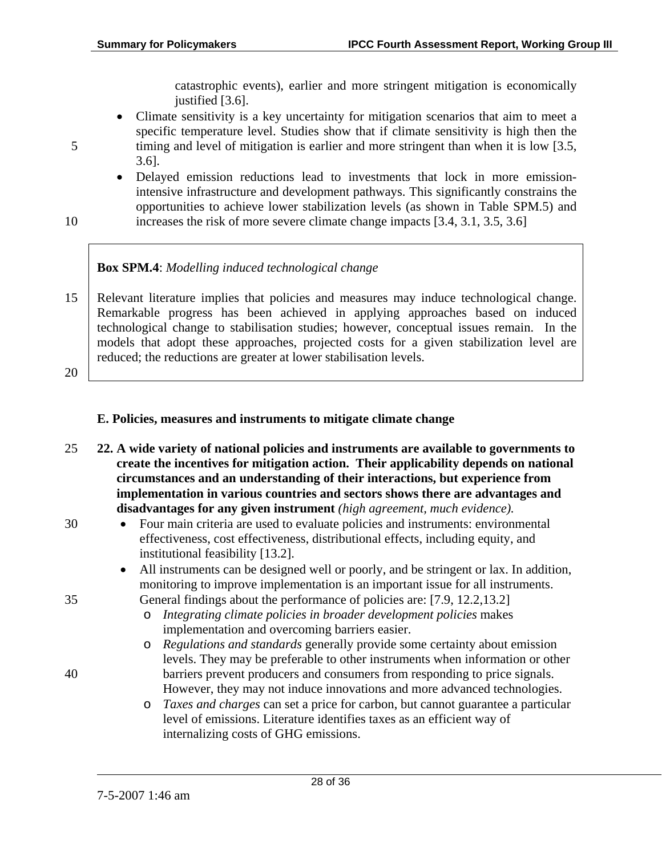catastrophic events), earlier and more stringent mitigation is economically justified [3.6].

- Climate sensitivity is a key uncertainty for mitigation scenarios that aim to meet a specific temperature level. Studies show that if climate sensitivity is high then the 5 timing and level of mitigation is earlier and more stringent than when it is low [3.5, 3.6].
	- Delayed emission reductions lead to investments that lock in more emissionintensive infrastructure and development pathways. This significantly constrains the opportunities to achieve lower stabilization levels (as shown in Table SPM.5) and
- 10 increases the risk of more severe climate change impacts [3.4, 3.1, 3.5, 3.6]

#### **Box SPM.4**: *Modelling induced technological change*

15 Relevant literature implies that policies and measures may induce technological change. Remarkable progress has been achieved in applying approaches based on induced technological change to stabilisation studies; however, conceptual issues remain. In the models that adopt these approaches, projected costs for a given stabilization level are reduced; the reductions are greater at lower stabilisation levels.

20

#### **E. Policies, measures and instruments to mitigate climate change**

- 25 **22. A wide variety of national policies and instruments are available to governments to create the incentives for mitigation action. Their applicability depends on national circumstances and an understanding of their interactions, but experience from implementation in various countries and sectors shows there are advantages and disadvantages for any given instrument** *(high agreement, much evidence).*
- 30 Four main criteria are used to evaluate policies and instruments: environmental effectiveness, cost effectiveness, distributional effects, including equity, and institutional feasibility [13.2].
- All instruments can be designed well or poorly, and be stringent or lax. In addition, monitoring to improve implementation is an important issue for all instruments. 35 General findings about the performance of policies are: [7.9, 12.2,13.2]
	- o *Integrating climate policies in broader development policies* makes implementation and overcoming barriers easier.
- o *Regulations and standards* generally provide some certainty about emission levels. They may be preferable to other instruments when information or other 40 barriers prevent producers and consumers from responding to price signals. However, they may not induce innovations and more advanced technologies.
	- o *Taxes and charges* can set a price for carbon, but cannot guarantee a particular level of emissions. Literature identifies taxes as an efficient way of internalizing costs of GHG emissions.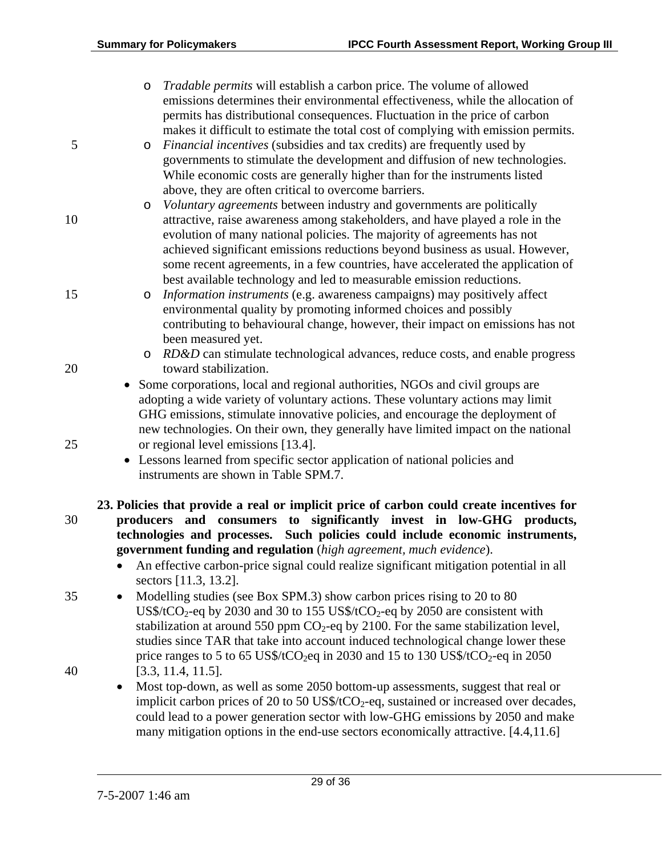- o *Tradable permits* will establish a carbon price. The volume of allowed emissions determines their environmental effectiveness, while the allocation of permits has distributional consequences. Fluctuation in the price of carbon makes it difficult to estimate the total cost of complying with emission permits.
- 5 o *Financial incentives* (subsidies and tax credits) are frequently used by governments to stimulate the development and diffusion of new technologies. While economic costs are generally higher than for the instruments listed above, they are often critical to overcome barriers.
- o *Voluntary agreements* between industry and governments are politically 10 attractive, raise awareness among stakeholders, and have played a role in the evolution of many national policies. The majority of agreements has not achieved significant emissions reductions beyond business as usual. However, some recent agreements, in a few countries, have accelerated the application of best available technology and led to measurable emission reductions.
- 15 o *Information instruments* (e.g. awareness campaigns) may positively affect environmental quality by promoting informed choices and possibly contributing to behavioural change, however, their impact on emissions has not been measured yet.
- o *RD&D* can stimulate technological advances, reduce costs, and enable progress 20 toward stabilization.
- Some corporations, local and regional authorities, NGOs and civil groups are adopting a wide variety of voluntary actions. These voluntary actions may limit GHG emissions, stimulate innovative policies, and encourage the deployment of new technologies. On their own, they generally have limited impact on the national 25 or regional level emissions [13.4].
	- Lessons learned from specific sector application of national policies and instruments are shown in Table SPM.7.
- **23. Policies that provide a real or implicit price of carbon could create incentives for**  30 **producers and consumers to significantly invest in low-GHG products, technologies and processes. Such policies could include economic instruments, government funding and regulation** (*high agreement, much evidence*).
	- An effective carbon-price signal could realize significant mitigation potential in all sectors [11.3, 13.2].
- 35 Modelling studies (see Box SPM.3) show carbon prices rising to 20 to 80  $US\frac{4}{C}O_2$ -eq by 2030 and 30 to 155 US\$/tCO<sub>2</sub>-eq by 2050 are consistent with stabilization at around 550 ppm  $CO_2$ -eq by 2100. For the same stabilization level, studies since TAR that take into account induced technological change lower these price ranges to 5 to 65 US\$/tCO<sub>2</sub>eq in 2030 and 15 to 130 US\$/tCO<sub>2</sub>-eq in 2050 40 [3.3, 11.4, 11.5].
	- Most top-down, as well as some 2050 bottom-up assessments, suggest that real or implicit carbon prices of 20 to 50 US\$/ $tCO_2$ -eq, sustained or increased over decades, could lead to a power generation sector with low-GHG emissions by 2050 and make many mitigation options in the end-use sectors economically attractive. [4.4,11.6]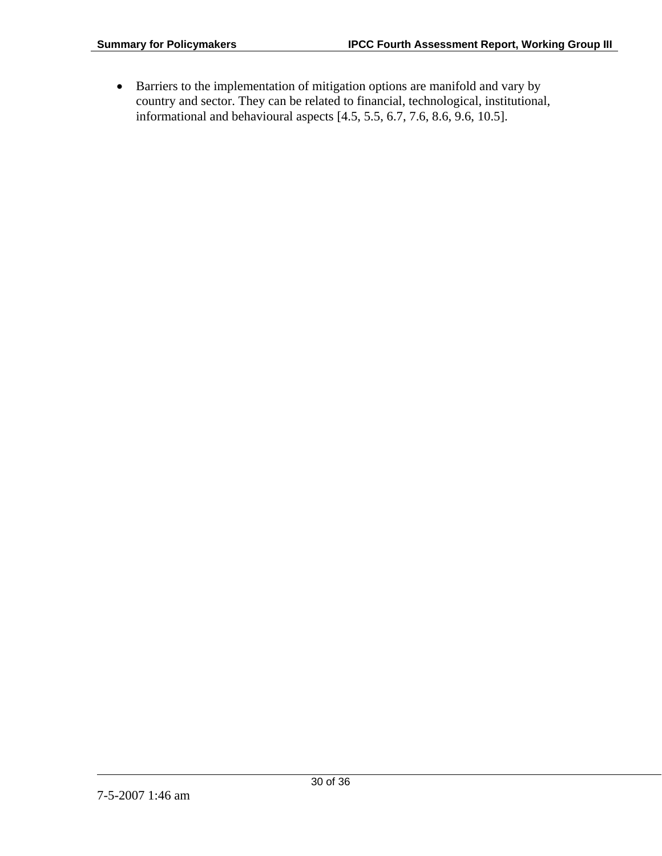• Barriers to the implementation of mitigation options are manifold and vary by country and sector. They can be related to financial, technological, institutional, informational and behavioural aspects [4.5, 5.5, 6.7, 7.6, 8.6, 9.6, 10.5].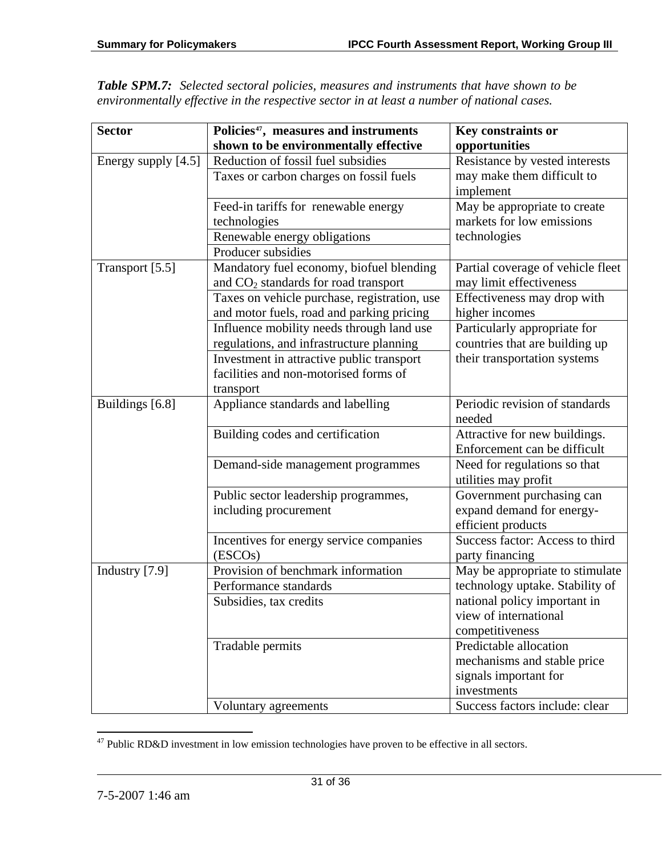| Table SPM.7: Selected sectoral policies, measures and instruments that have shown to be    |  |  |  |  |
|--------------------------------------------------------------------------------------------|--|--|--|--|
| environmentally effective in the respective sector in at least a number of national cases. |  |  |  |  |

| <b>Sector</b>       | Policies <sup>47</sup> , measures and instruments | <b>Key constraints or</b>         |  |  |
|---------------------|---------------------------------------------------|-----------------------------------|--|--|
|                     | shown to be environmentally effective             | opportunities                     |  |  |
| Energy supply [4.5] | Reduction of fossil fuel subsidies                | Resistance by vested interests    |  |  |
|                     | Taxes or carbon charges on fossil fuels           | may make them difficult to        |  |  |
|                     |                                                   | implement                         |  |  |
|                     | Feed-in tariffs for renewable energy              | May be appropriate to create      |  |  |
|                     | technologies                                      | markets for low emissions         |  |  |
|                     | Renewable energy obligations                      | technologies                      |  |  |
|                     | Producer subsidies                                |                                   |  |  |
| Transport [5.5]     | Mandatory fuel economy, biofuel blending          | Partial coverage of vehicle fleet |  |  |
|                     | and CO <sub>2</sub> standards for road transport  | may limit effectiveness           |  |  |
|                     | Taxes on vehicle purchase, registration, use      | Effectiveness may drop with       |  |  |
|                     | and motor fuels, road and parking pricing         | higher incomes                    |  |  |
|                     | Influence mobility needs through land use         | Particularly appropriate for      |  |  |
|                     | regulations, and infrastructure planning          | countries that are building up    |  |  |
|                     | Investment in attractive public transport         | their transportation systems      |  |  |
|                     | facilities and non-motorised forms of             |                                   |  |  |
|                     | transport                                         |                                   |  |  |
| Buildings [6.8]     | Appliance standards and labelling                 | Periodic revision of standards    |  |  |
|                     |                                                   | needed                            |  |  |
|                     | Building codes and certification                  | Attractive for new buildings.     |  |  |
|                     |                                                   | Enforcement can be difficult      |  |  |
|                     | Demand-side management programmes                 | Need for regulations so that      |  |  |
|                     |                                                   | utilities may profit              |  |  |
|                     | Public sector leadership programmes,              | Government purchasing can         |  |  |
|                     | including procurement                             | expand demand for energy-         |  |  |
|                     |                                                   | efficient products                |  |  |
|                     | Incentives for energy service companies           | Success factor: Access to third   |  |  |
|                     | (ESCO <sub>s</sub> )                              | party financing                   |  |  |
| Industry [7.9]      | Provision of benchmark information                | May be appropriate to stimulate   |  |  |
|                     | Performance standards                             | technology uptake. Stability of   |  |  |
|                     | Subsidies, tax credits                            | national policy important in      |  |  |
|                     |                                                   | view of international             |  |  |
|                     |                                                   | competitiveness                   |  |  |
|                     | Tradable permits                                  | Predictable allocation            |  |  |
|                     |                                                   | mechanisms and stable price       |  |  |
|                     |                                                   | signals important for             |  |  |
|                     |                                                   | investments                       |  |  |
|                     | Voluntary agreements                              | Success factors include: clear    |  |  |

 $47$  Public RD&D investment in low emission technologies have proven to be effective in all sectors.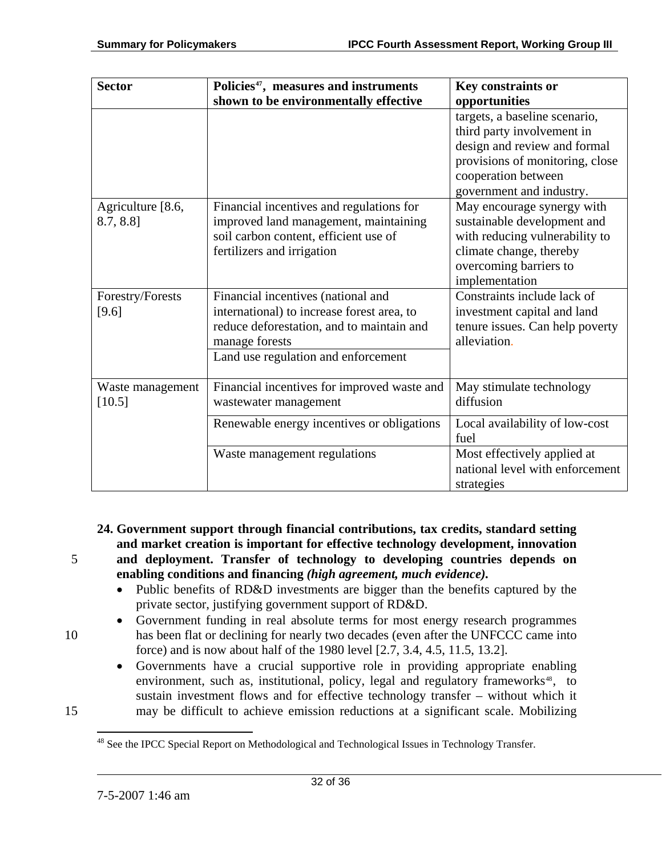| <b>Sector</b>                  | Policies <sup>47</sup> , measures and instruments                                                                                                                                      | Key constraints or                                                                                                                                                                |
|--------------------------------|----------------------------------------------------------------------------------------------------------------------------------------------------------------------------------------|-----------------------------------------------------------------------------------------------------------------------------------------------------------------------------------|
|                                | shown to be environmentally effective                                                                                                                                                  | opportunities                                                                                                                                                                     |
|                                |                                                                                                                                                                                        | targets, a baseline scenario,<br>third party involvement in<br>design and review and formal<br>provisions of monitoring, close<br>cooperation between<br>government and industry. |
| Agriculture [8.6,<br>8.7, 8.8] | Financial incentives and regulations for<br>improved land management, maintaining<br>soil carbon content, efficient use of<br>fertilizers and irrigation                               | May encourage synergy with<br>sustainable development and<br>with reducing vulnerability to<br>climate change, thereby<br>overcoming barriers to<br>implementation                |
| Forestry/Forests<br>[9.6]      | Financial incentives (national and<br>international) to increase forest area, to<br>reduce deforestation, and to maintain and<br>manage forests<br>Land use regulation and enforcement | Constraints include lack of<br>investment capital and land<br>tenure issues. Can help poverty<br>alleviation.                                                                     |
| Waste management<br>[10.5]     | Financial incentives for improved waste and<br>wastewater management                                                                                                                   | May stimulate technology<br>diffusion                                                                                                                                             |
|                                | Renewable energy incentives or obligations                                                                                                                                             | Local availability of low-cost<br>fuel                                                                                                                                            |
|                                | Waste management regulations                                                                                                                                                           | Most effectively applied at<br>national level with enforcement<br>strategies                                                                                                      |

**24. Government support through financial contributions, tax credits, standard setting and market creation is important for effective technology development, innovation**  5 **and deployment. Transfer of technology to developing countries depends on enabling conditions and financing** *(high agreement, much evidence).* 

- Public benefits of RD&D investments are bigger than the benefits captured by the private sector, justifying government support of RD&D.
- Government funding in real absolute terms for most energy research programmes 10 has been flat or declining for nearly two decades (even after the UNFCCC came into force) and is now about half of the 1980 level [2.7, 3.4, 4.5, 11.5, 13.2].
- Governments have a crucial supportive role in providing appropriate enabling environment, such as, institutional, policy, legal and regulatory frameworks<sup>48</sup>, to sustain investment flows and for effective technology transfer – without which it 15 may be difficult to achieve emission reductions at a significant scale. Mobilizing

 $\overline{a}$ <sup>48</sup> See the IPCC Special Report on Methodological and Technological Issues in Technology Transfer.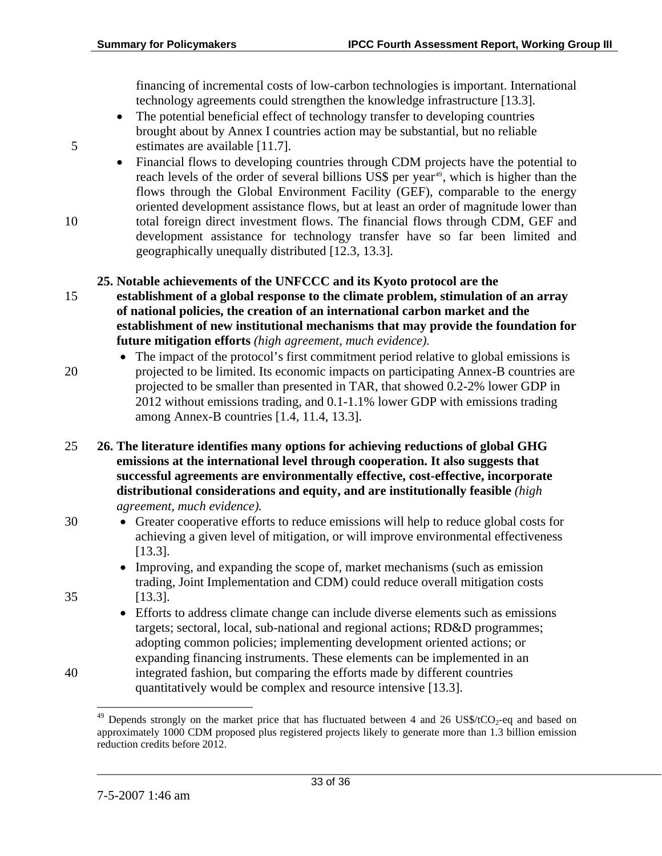financing of incremental costs of low-carbon technologies is important. International technology agreements could strengthen the knowledge infrastructure [13.3].

- The potential beneficial effect of technology transfer to developing countries brought about by Annex I countries action may be substantial, but no reliable 5 estimates are available [11.7].
- Financial flows to developing countries through CDM projects have the potential to reach levels of the order of several billions US\$ per year<sup>49</sup>, which is higher than the flows through the Global Environment Facility (GEF), comparable to the energy oriented development assistance flows, but at least an order of magnitude lower than 10 total foreign direct investment flows. The financial flows through CDM, GEF and development assistance for technology transfer have so far been limited and

geographically unequally distributed [12.3, 13.3].

#### **25. Notable achievements of the UNFCCC and its Kyoto protocol are the**

- 15 **establishment of a global response to the climate problem, stimulation of an array of national policies, the creation of an international carbon market and the establishment of new institutional mechanisms that may provide the foundation for future mitigation efforts** *(high agreement, much evidence).*
- The impact of the protocol's first commitment period relative to global emissions is 20 projected to be limited. Its economic impacts on participating Annex-B countries are projected to be smaller than presented in TAR, that showed 0.2-2% lower GDP in 2012 without emissions trading, and 0.1-1.1% lower GDP with emissions trading among Annex-B countries [1.4, 11.4, 13.3].
- 25 **26. The literature identifies many options for achieving reductions of global GHG emissions at the international level through cooperation. It also suggests that successful agreements are environmentally effective, cost-effective, incorporate distributional considerations and equity, and are institutionally feasible** *(high agreement, much evidence).*
- 30 Greater cooperative efforts to reduce emissions will help to reduce global costs for achieving a given level of mitigation, or will improve environmental effectiveness [13.3].
- Improving, and expanding the scope of, market mechanisms (such as emission trading, Joint Implementation and CDM) could reduce overall mitigation costs 35 [13.3].
- Efforts to address climate change can include diverse elements such as emissions targets; sectoral, local, sub-national and regional actions; RD&D programmes; adopting common policies; implementing development oriented actions; or expanding financing instruments. These elements can be implemented in an 40 integrated fashion, but comparing the efforts made by different countries
	- quantitatively would be complex and resource intensive [13.3].

 $\overline{a}$ <sup>49</sup> Depends strongly on the market price that has fluctuated between 4 and 26 US\$/tCO<sub>2</sub>-eq and based on approximately 1000 CDM proposed plus registered projects likely to generate more than 1.3 billion emission reduction credits before 2012.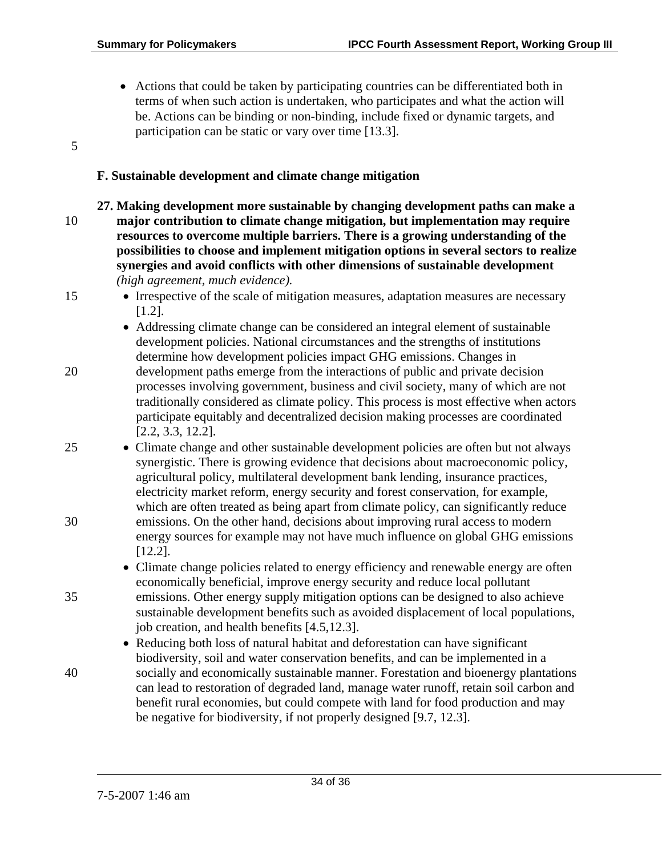- Actions that could be taken by participating countries can be differentiated both in terms of when such action is undertaken, who participates and what the action will be. Actions can be binding or non-binding, include fixed or dynamic targets, and participation can be static or vary over time [13.3].
- 5

#### **F. Sustainable development and climate change mitigation**

- **27. Making development more sustainable by changing development paths can make a**  10 **major contribution to climate change mitigation, but implementation may require resources to overcome multiple barriers. There is a growing understanding of the possibilities to choose and implement mitigation options in several sectors to realize synergies and avoid conflicts with other dimensions of sustainable development**  *(high agreement, much evidence).*
- 15 Irrespective of the scale of mitigation measures, adaptation measures are necessary [1.2].
	- Addressing climate change can be considered an integral element of sustainable development policies. National circumstances and the strengths of institutions determine how development policies impact GHG emissions. Changes in
- 20 development paths emerge from the interactions of public and private decision processes involving government, business and civil society, many of which are not traditionally considered as climate policy. This process is most effective when actors participate equitably and decentralized decision making processes are coordinated [2.2, 3.3, 12.2].
- 25 Climate change and other sustainable development policies are often but not always synergistic. There is growing evidence that decisions about macroeconomic policy, agricultural policy, multilateral development bank lending, insurance practices, electricity market reform, energy security and forest conservation, for example, which are often treated as being apart from climate policy, can significantly reduce 30 emissions. On the other hand, decisions about improving rural access to modern energy sources for example may not have much influence on global GHG emissions [12.2].
	- Climate change policies related to energy efficiency and renewable energy are often economically beneficial, improve energy security and reduce local pollutant
- 35 emissions. Other energy supply mitigation options can be designed to also achieve sustainable development benefits such as avoided displacement of local populations, job creation, and health benefits [4.5,12.3].
- Reducing both loss of natural habitat and deforestation can have significant biodiversity, soil and water conservation benefits, and can be implemented in a 40 socially and economically sustainable manner. Forestation and bioenergy plantations can lead to restoration of degraded land, manage water runoff, retain soil carbon and benefit rural economies, but could compete with land for food production and may be negative for biodiversity, if not properly designed [9.7, 12.3].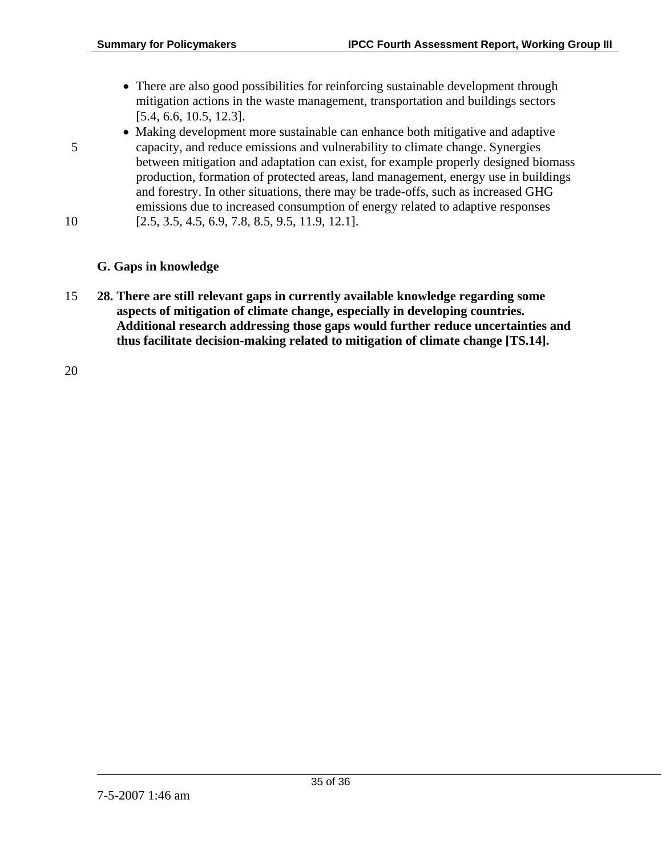- There are also good possibilities for reinforcing sustainable development through mitigation actions in the waste management, transportation and buildings sectors [5.4, 6.6, 10.5, 12.3].
- Making development more sustainable can enhance both mitigative and adaptive 5 capacity, and reduce emissions and vulnerability to climate change. Synergies between mitigation and adaptation can exist, for example properly designed biomass production, formation of protected areas, land management, energy use in buildings and forestry. In other situations, there may be trade-offs, such as increased GHG emissions due to increased consumption of energy related to adaptive responses
- 10 [2.5, 3.5, 4.5, 6.9, 7.8, 8.5, 9.5, 11.9, 12.1].

#### **G. Gaps in knowledge**

15 **28. There are still relevant gaps in currently available knowledge regarding some aspects of mitigation of climate change, especially in developing countries. Additional research addressing those gaps would further reduce uncertainties and thus facilitate decision-making related to mitigation of climate change [TS.14].** 

20